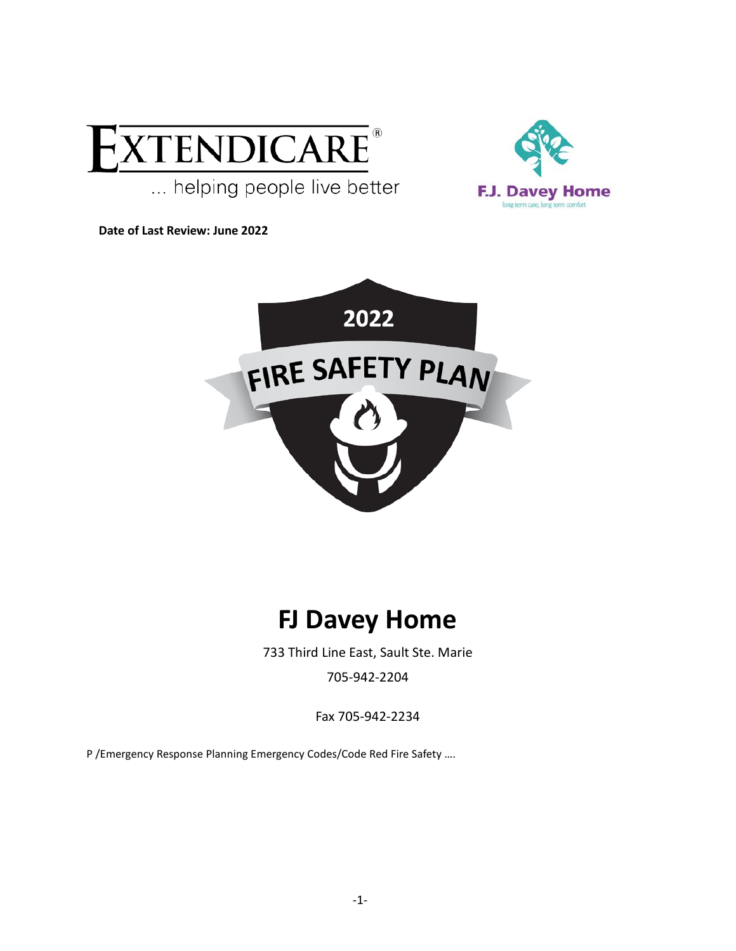



**Date of Last Review: June 2022**



# **FJ Davey Home**

733 Third Line East, Sault Ste. Marie

705-942-2204

Fax 705-942-2234

P /Emergency Response Planning Emergency Codes/Code Red Fire Safety ….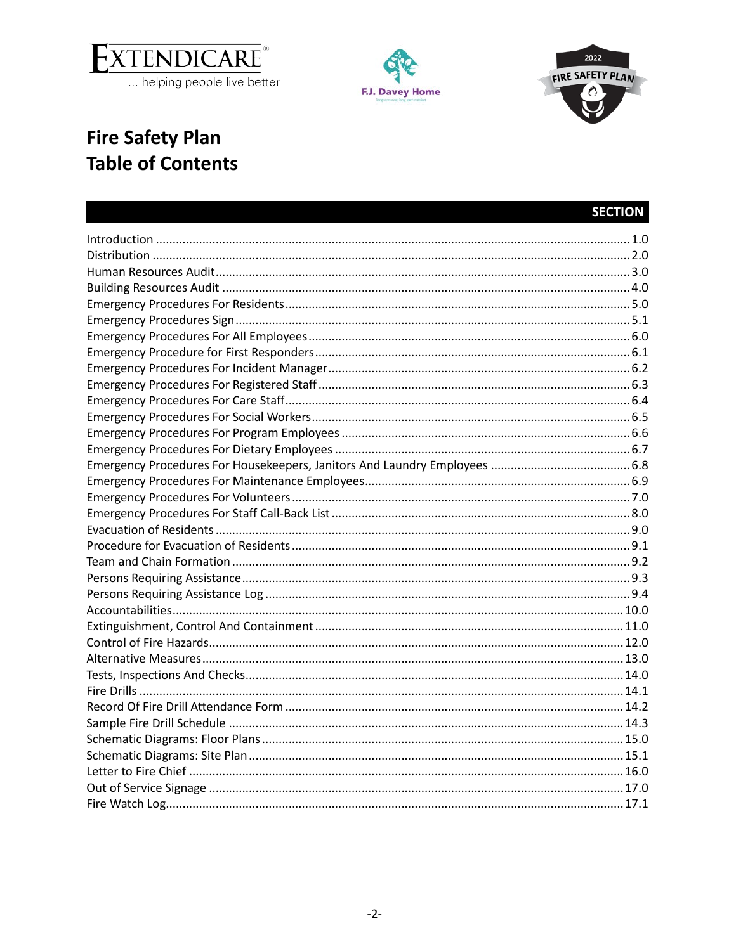





# **Fire Safety Plan Table of Contents**

### **SECTION**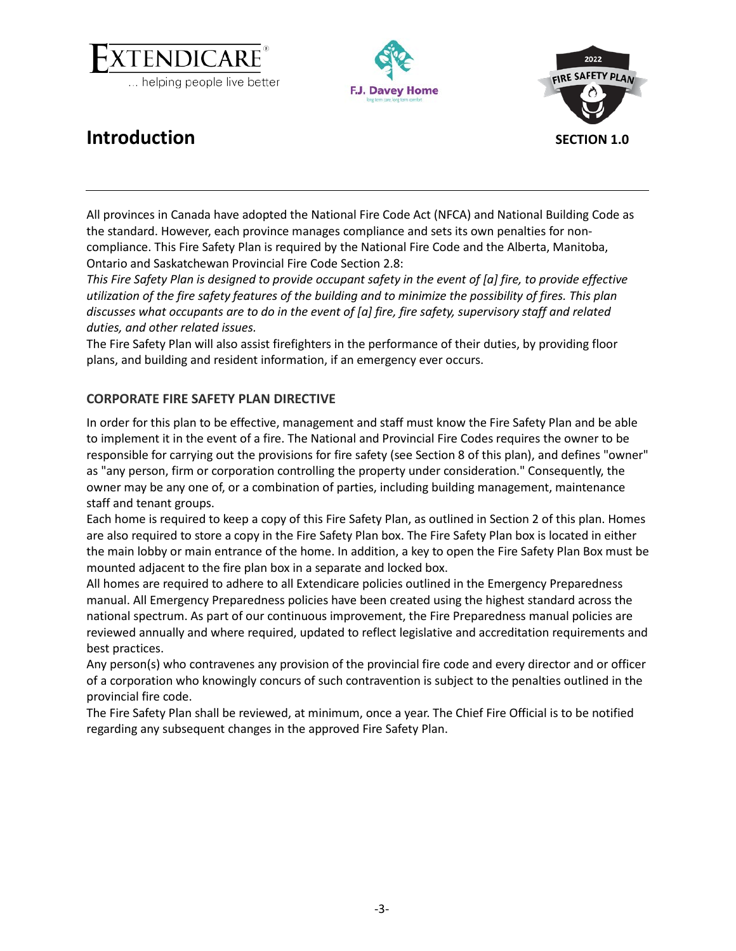



<span id="page-2-1"></span>

### <span id="page-2-0"></span>**Introduction SECTION 1.0**

All provinces in Canada have adopted the National Fire Code Act (NFCA) and National Building Code as the standard. However, each province manages compliance and sets its own penalties for noncompliance. This Fire Safety Plan is required by the National Fire Code and the Alberta, Manitoba, Ontario and Saskatchewan Provincial Fire Code Section 2.8:

*This Fire Safety Plan is designed to provide occupant safety in the event of [a] fire, to provide effective utilization of the fire safety features of the building and to minimize the possibility of fires. This plan discusses what occupants are to do in the event of [a] fire, fire safety, supervisory staff and related duties, and other related issues.*

The Fire Safety Plan will also assist firefighters in the performance of their duties, by providing floor plans, and building and resident information, if an emergency ever occurs.

### **CORPORATE FIRE SAFETY PLAN DIRECTIVE**

In order for this plan to be effective, management and staff must know the Fire Safety Plan and be able to implement it in the event of a fire. The National and Provincial Fire Codes requires the owner to be responsible for carrying out the provisions for fire safety (see Section 8 of this plan), and defines "owner" as "any person, firm or corporation controlling the property under consideration." Consequently, the owner may be any one of, or a combination of parties, including building management, maintenance staff and tenant groups.

Each home is required to keep a copy of this Fire Safety Plan, as outlined in Section 2 of this plan. Homes are also required to store a copy in the Fire Safety Plan box. The Fire Safety Plan box is located in either the main lobby or main entrance of the home. In addition, a key to open the Fire Safety Plan Box must be mounted adjacent to the fire plan box in a separate and locked box.

All homes are required to adhere to all Extendicare policies outlined in the Emergency Preparedness manual. All Emergency Preparedness policies have been created using the highest standard across the national spectrum. As part of our continuous improvement, the Fire Preparedness manual policies are reviewed annually and where required, updated to reflect legislative and accreditation requirements and best practices.

Any person(s) who contravenes any provision of the provincial fire code and every director and or officer of a corporation who knowingly concurs of such contravention is subject to the penalties outlined in the provincial fire code.

The Fire Safety Plan shall be reviewed, at minimum, once a year. The Chief Fire Official is to be notified regarding any subsequent changes in the approved Fire Safety Plan.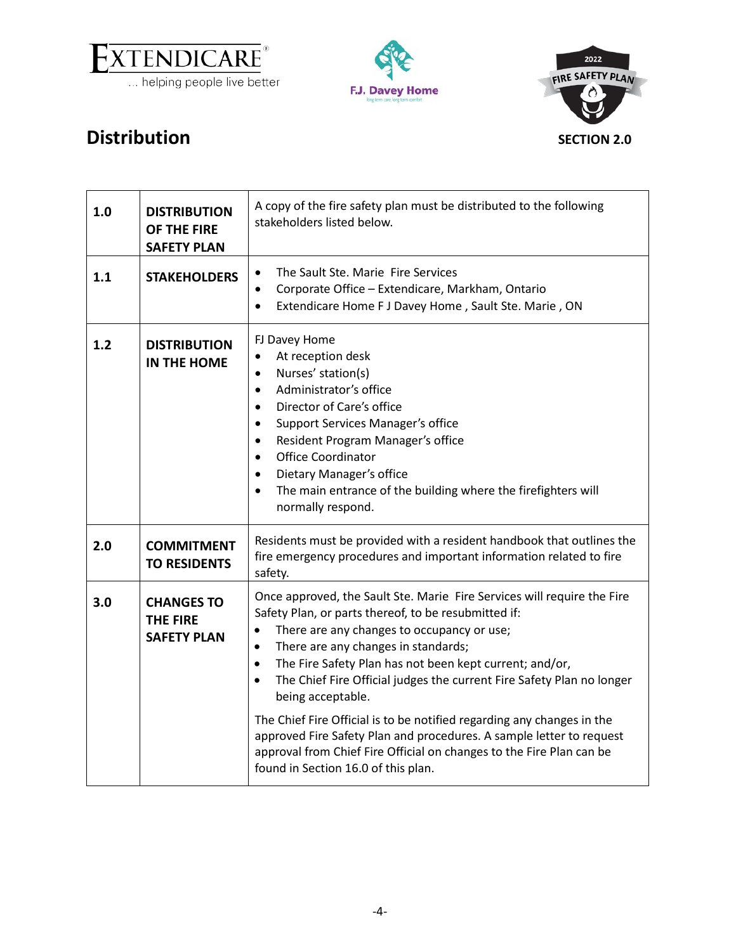

<span id="page-3-1"></span>



<span id="page-3-0"></span>

| 1.0 | <b>DISTRIBUTION</b><br>OF THE FIRE<br><b>SAFETY PLAN</b>   | A copy of the fire safety plan must be distributed to the following<br>stakeholders listed below.                                                                                                                                                                                                                                                                                                                                                                                                                                                                                                                                                                                     |
|-----|------------------------------------------------------------|---------------------------------------------------------------------------------------------------------------------------------------------------------------------------------------------------------------------------------------------------------------------------------------------------------------------------------------------------------------------------------------------------------------------------------------------------------------------------------------------------------------------------------------------------------------------------------------------------------------------------------------------------------------------------------------|
| 1.1 | <b>STAKEHOLDERS</b>                                        | The Sault Ste. Marie Fire Services<br>Corporate Office - Extendicare, Markham, Ontario<br>$\bullet$<br>Extendicare Home F J Davey Home, Sault Ste. Marie, ON<br>$\bullet$                                                                                                                                                                                                                                                                                                                                                                                                                                                                                                             |
| 1.2 | <b>DISTRIBUTION</b><br><b>IN THE HOME</b>                  | FJ Davey Home<br>At reception desk<br>$\bullet$<br>Nurses' station(s)<br>$\bullet$<br>Administrator's office<br>$\bullet$<br>Director of Care's office<br>$\bullet$<br><b>Support Services Manager's office</b><br>Resident Program Manager's office<br>$\bullet$<br><b>Office Coordinator</b><br>$\bullet$<br>Dietary Manager's office<br>$\bullet$<br>The main entrance of the building where the firefighters will<br>$\bullet$<br>normally respond.                                                                                                                                                                                                                               |
| 2.0 | <b>COMMITMENT</b><br><b>TO RESIDENTS</b>                   | Residents must be provided with a resident handbook that outlines the<br>fire emergency procedures and important information related to fire<br>safety.                                                                                                                                                                                                                                                                                                                                                                                                                                                                                                                               |
| 3.0 | <b>CHANGES TO</b><br><b>THE FIRE</b><br><b>SAFETY PLAN</b> | Once approved, the Sault Ste. Marie Fire Services will require the Fire<br>Safety Plan, or parts thereof, to be resubmitted if:<br>There are any changes to occupancy or use;<br>There are any changes in standards;<br>$\bullet$<br>The Fire Safety Plan has not been kept current; and/or,<br>$\bullet$<br>The Chief Fire Official judges the current Fire Safety Plan no longer<br>$\bullet$<br>being acceptable.<br>The Chief Fire Official is to be notified regarding any changes in the<br>approved Fire Safety Plan and procedures. A sample letter to request<br>approval from Chief Fire Official on changes to the Fire Plan can be<br>found in Section 16.0 of this plan. |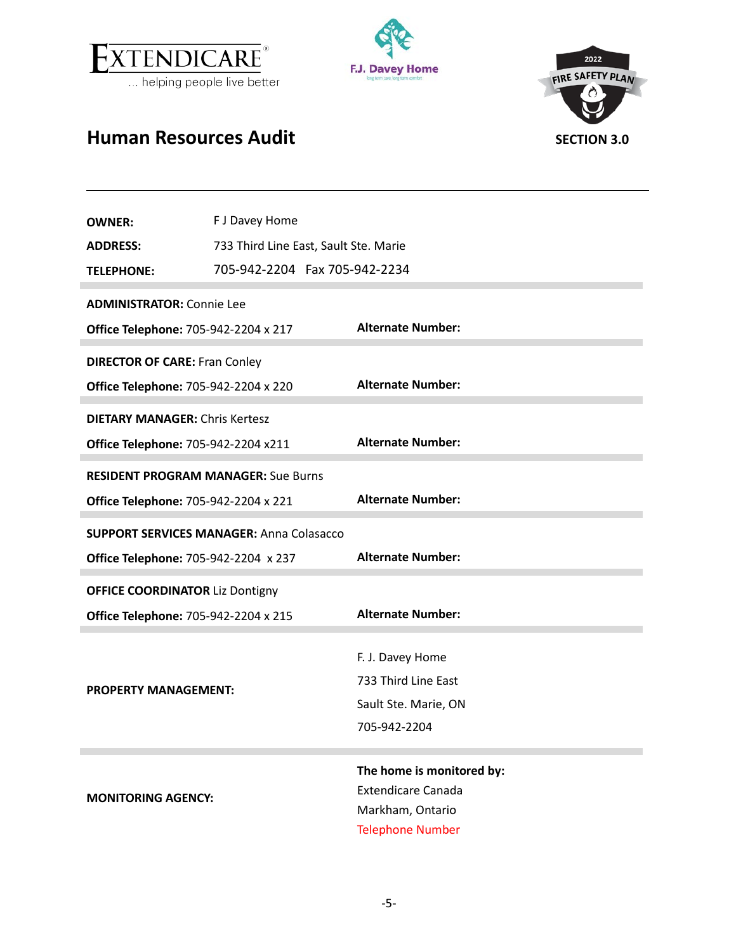



<span id="page-4-1"></span>

# <span id="page-4-0"></span>**Human Resources Audit SECTION 3.0**

| <b>OWNER:</b>                                   | F J Davey Home                             |                                                        |  |
|-------------------------------------------------|--------------------------------------------|--------------------------------------------------------|--|
| <b>ADDRESS:</b>                                 | 733 Third Line East, Sault Ste. Marie      |                                                        |  |
| <b>TELEPHONE:</b>                               | 705-942-2204  Fax 705-942-2234             |                                                        |  |
| <b>ADMINISTRATOR: Connie Lee</b>                |                                            |                                                        |  |
| <b>Office Telephone: 705-942-2204 x 217</b>     |                                            | <b>Alternate Number:</b>                               |  |
| <b>DIRECTOR OF CARE: Fran Conley</b>            |                                            |                                                        |  |
| <b>Office Telephone: 705-942-2204 x 220</b>     |                                            | <b>Alternate Number:</b>                               |  |
| <b>DIETARY MANAGER: Chris Kertesz</b>           |                                            |                                                        |  |
| <b>Office Telephone: 705-942-2204 x211</b>      |                                            | <b>Alternate Number:</b>                               |  |
|                                                 | <b>RESIDENT PROGRAM MANAGER: Sue Burns</b> |                                                        |  |
| <b>Office Telephone: 705-942-2204 x 221</b>     |                                            | <b>Alternate Number:</b>                               |  |
| <b>SUPPORT SERVICES MANAGER: Anna Colasacco</b> |                                            |                                                        |  |
| <b>Office Telephone: 705-942-2204 x 237</b>     |                                            | <b>Alternate Number:</b>                               |  |
|                                                 | <b>OFFICE COORDINATOR Liz Dontigny</b>     |                                                        |  |
| <b>Office Telephone: 705-942-2204 x 215</b>     |                                            | <b>Alternate Number:</b>                               |  |
|                                                 |                                            | F. J. Davey Home                                       |  |
|                                                 |                                            | 733 Third Line East                                    |  |
| <b>PROPERTY MANAGEMENT:</b>                     |                                            | Sault Ste. Marie, ON                                   |  |
|                                                 |                                            |                                                        |  |
|                                                 |                                            | 705-942-2204                                           |  |
|                                                 |                                            |                                                        |  |
|                                                 |                                            | The home is monitored by:<br><b>Extendicare Canada</b> |  |
| <b>MONITORING AGENCY:</b>                       |                                            | Markham, Ontario                                       |  |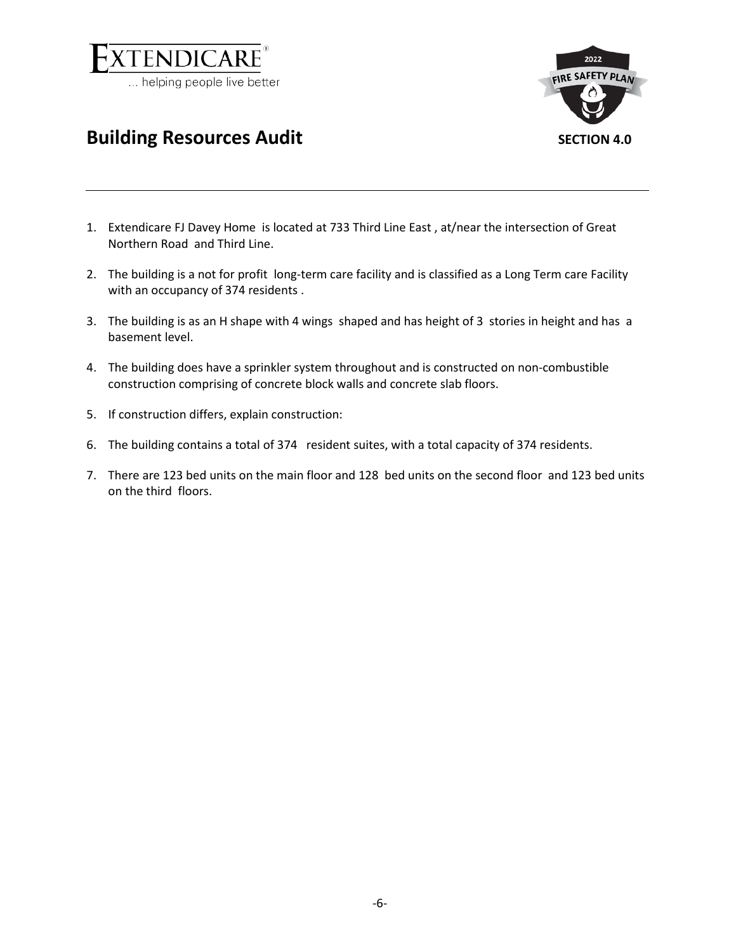

<span id="page-5-1"></span>

### <span id="page-5-0"></span>**Building Resources Audit SECTION 4.0**

- 1. Extendicare FJ Davey Home is located at 733 Third Line East , at/near the intersection of Great Northern Road and Third Line.
- 2. The building is a not for profit long-term care facility and is classified as a Long Term care Facility with an occupancy of 374 residents.
- 3. The building is as an H shape with 4 wings shaped and has height of 3 stories in height and has a basement level.
- 4. The building does have a sprinkler system throughout and is constructed on non-combustible construction comprising of concrete block walls and concrete slab floors.
- 5. If construction differs, explain construction:
- 6. The building contains a total of 374 resident suites, with a total capacity of 374 residents.
- 7. There are 123 bed units on the main floor and 128 bed units on the second floor and 123 bed units on the third floors.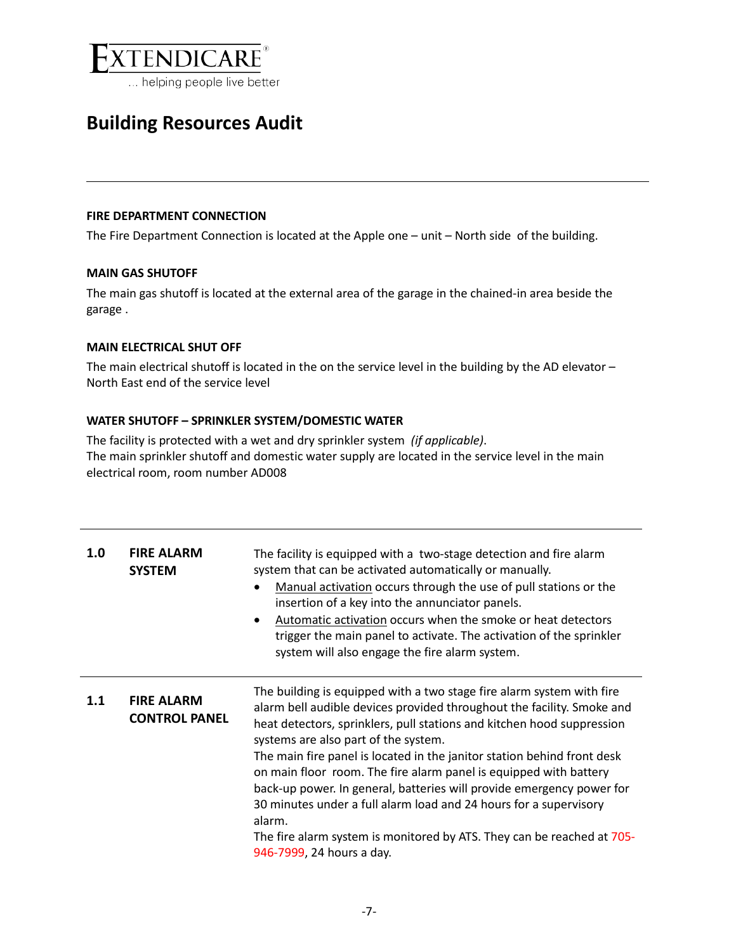

#### **FIRE DEPARTMENT CONNECTION**

The Fire Department Connection is located at the Apple one – unit – North side of the building.

#### **MAIN GAS SHUTOFF**

The main gas shutoff is located at the external area of the garage in the chained-in area beside the garage .

#### **MAIN ELECTRICAL SHUT OFF**

The main electrical shutoff is located in the on the service level in the building by the AD elevator – North East end of the service level

#### **WATER SHUTOFF – SPRINKLER SYSTEM/DOMESTIC WATER**

The facility is protected with a wet and dry sprinkler system *(if applicable)*. The main sprinkler shutoff and domestic water supply are located in the service level in the main electrical room, room number AD008

| 1.0 | <b>FIRE ALARM</b><br><b>SYSTEM</b>        | The facility is equipped with a two-stage detection and fire alarm<br>system that can be activated automatically or manually.<br>Manual activation occurs through the use of pull stations or the<br>$\bullet$<br>insertion of a key into the annunciator panels.<br>Automatic activation occurs when the smoke or heat detectors<br>$\bullet$<br>trigger the main panel to activate. The activation of the sprinkler<br>system will also engage the fire alarm system.                                                                                                                                                                                                          |
|-----|-------------------------------------------|----------------------------------------------------------------------------------------------------------------------------------------------------------------------------------------------------------------------------------------------------------------------------------------------------------------------------------------------------------------------------------------------------------------------------------------------------------------------------------------------------------------------------------------------------------------------------------------------------------------------------------------------------------------------------------|
| 1.1 | <b>FIRE ALARM</b><br><b>CONTROL PANEL</b> | The building is equipped with a two stage fire alarm system with fire<br>alarm bell audible devices provided throughout the facility. Smoke and<br>heat detectors, sprinklers, pull stations and kitchen hood suppression<br>systems are also part of the system.<br>The main fire panel is located in the janitor station behind front desk<br>on main floor room. The fire alarm panel is equipped with battery<br>back-up power. In general, batteries will provide emergency power for<br>30 minutes under a full alarm load and 24 hours for a supervisory<br>alarm.<br>The fire alarm system is monitored by ATS. They can be reached at 705-<br>946-7999, 24 hours a day. |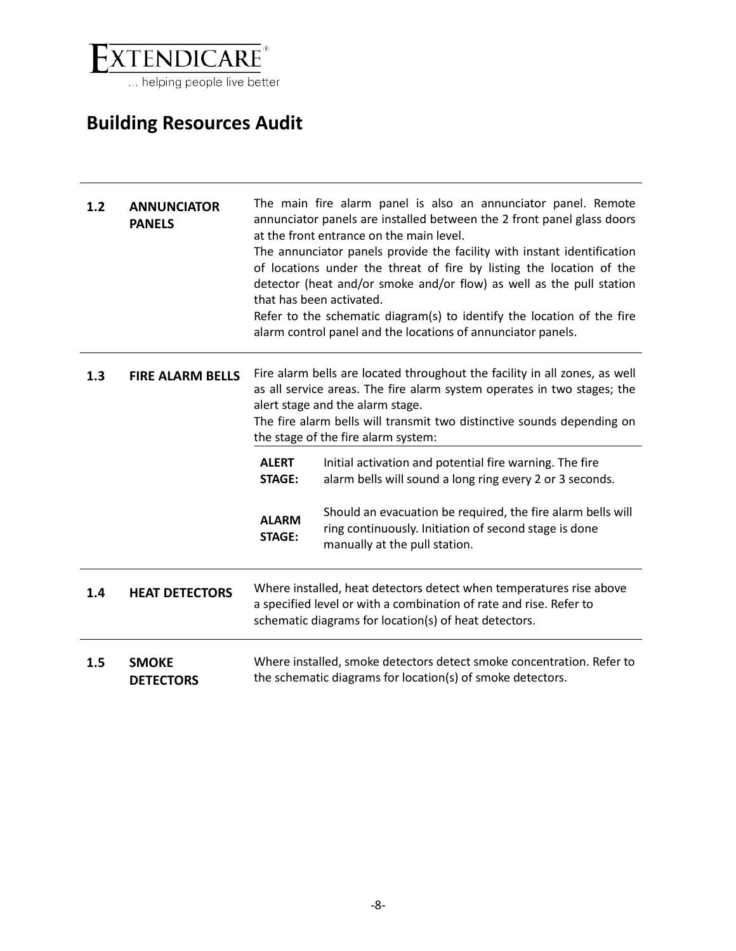

| 1.2 | <b>ANNUNCIATOR</b><br><b>PANELS</b> |                               | The main fire alarm panel is also an annunciator panel. Remote<br>annunciator panels are installed between the 2 front panel glass doors<br>at the front entrance on the main level.<br>The annunciator panels provide the facility with instant identification<br>of locations under the threat of fire by listing the location of the<br>detector (heat and/or smoke and/or flow) as well as the pull station<br>that has been activated.<br>Refer to the schematic diagram(s) to identify the location of the fire<br>alarm control panel and the locations of annunciator panels. |
|-----|-------------------------------------|-------------------------------|---------------------------------------------------------------------------------------------------------------------------------------------------------------------------------------------------------------------------------------------------------------------------------------------------------------------------------------------------------------------------------------------------------------------------------------------------------------------------------------------------------------------------------------------------------------------------------------|
| 1.3 | <b>FIRE ALARM BELLS</b>             |                               | Fire alarm bells are located throughout the facility in all zones, as well<br>as all service areas. The fire alarm system operates in two stages; the<br>alert stage and the alarm stage.<br>The fire alarm bells will transmit two distinctive sounds depending on<br>the stage of the fire alarm system:                                                                                                                                                                                                                                                                            |
|     |                                     | <b>ALERT</b><br><b>STAGE:</b> | Initial activation and potential fire warning. The fire<br>alarm bells will sound a long ring every 2 or 3 seconds.                                                                                                                                                                                                                                                                                                                                                                                                                                                                   |
|     |                                     | <b>ALARM</b><br><b>STAGE:</b> | Should an evacuation be required, the fire alarm bells will<br>ring continuously. Initiation of second stage is done<br>manually at the pull station.                                                                                                                                                                                                                                                                                                                                                                                                                                 |
| 1.4 | <b>HEAT DETECTORS</b>               |                               | Where installed, heat detectors detect when temperatures rise above<br>a specified level or with a combination of rate and rise. Refer to<br>schematic diagrams for location(s) of heat detectors.                                                                                                                                                                                                                                                                                                                                                                                    |
| 1.5 | <b>SMOKE</b><br><b>DETECTORS</b>    |                               | Where installed, smoke detectors detect smoke concentration. Refer to<br>the schematic diagrams for location(s) of smoke detectors.                                                                                                                                                                                                                                                                                                                                                                                                                                                   |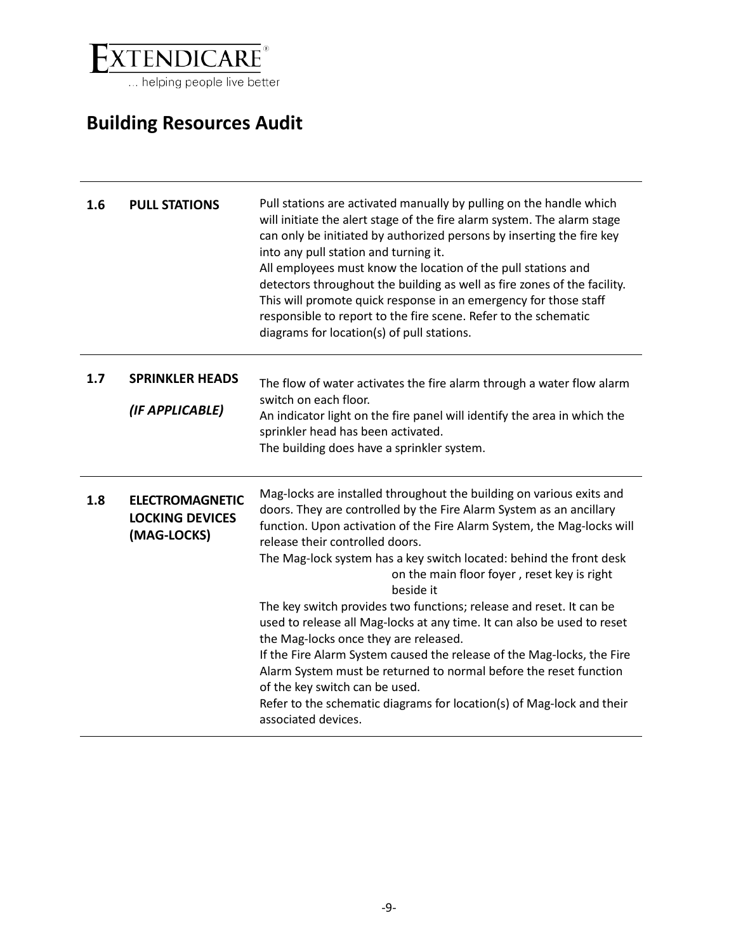

| 1.6 | <b>PULL STATIONS</b>                                            | Pull stations are activated manually by pulling on the handle which<br>will initiate the alert stage of the fire alarm system. The alarm stage<br>can only be initiated by authorized persons by inserting the fire key<br>into any pull station and turning it.<br>All employees must know the location of the pull stations and<br>detectors throughout the building as well as fire zones of the facility.<br>This will promote quick response in an emergency for those staff<br>responsible to report to the fire scene. Refer to the schematic<br>diagrams for location(s) of pull stations.                                                                                                                                                                                                                                                                      |
|-----|-----------------------------------------------------------------|-------------------------------------------------------------------------------------------------------------------------------------------------------------------------------------------------------------------------------------------------------------------------------------------------------------------------------------------------------------------------------------------------------------------------------------------------------------------------------------------------------------------------------------------------------------------------------------------------------------------------------------------------------------------------------------------------------------------------------------------------------------------------------------------------------------------------------------------------------------------------|
| 1.7 | <b>SPRINKLER HEADS</b><br>(IF APPLICABLE)                       | The flow of water activates the fire alarm through a water flow alarm<br>switch on each floor.<br>An indicator light on the fire panel will identify the area in which the<br>sprinkler head has been activated.<br>The building does have a sprinkler system.                                                                                                                                                                                                                                                                                                                                                                                                                                                                                                                                                                                                          |
| 1.8 | <b>ELECTROMAGNETIC</b><br><b>LOCKING DEVICES</b><br>(MAG-LOCKS) | Mag-locks are installed throughout the building on various exits and<br>doors. They are controlled by the Fire Alarm System as an ancillary<br>function. Upon activation of the Fire Alarm System, the Mag-locks will<br>release their controlled doors.<br>The Mag-lock system has a key switch located: behind the front desk<br>on the main floor foyer, reset key is right<br>beside it<br>The key switch provides two functions; release and reset. It can be<br>used to release all Mag-locks at any time. It can also be used to reset<br>the Mag-locks once they are released.<br>If the Fire Alarm System caused the release of the Mag-locks, the Fire<br>Alarm System must be returned to normal before the reset function<br>of the key switch can be used.<br>Refer to the schematic diagrams for location(s) of Mag-lock and their<br>associated devices. |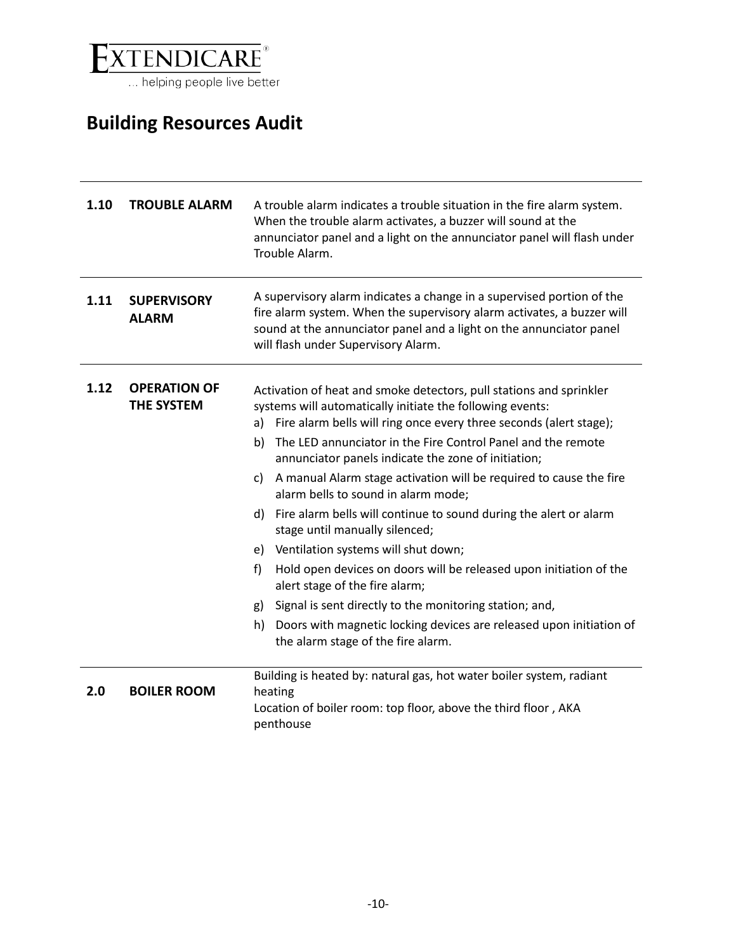

| 1.10 | <b>TROUBLE ALARM</b>                     | A trouble alarm indicates a trouble situation in the fire alarm system.<br>When the trouble alarm activates, a buzzer will sound at the<br>annunciator panel and a light on the annunciator panel will flash under<br>Trouble Alarm.                                                                                                                                                                                                                                                                                                                                                                                                                                                                                                                                                                                                                                                                                  |
|------|------------------------------------------|-----------------------------------------------------------------------------------------------------------------------------------------------------------------------------------------------------------------------------------------------------------------------------------------------------------------------------------------------------------------------------------------------------------------------------------------------------------------------------------------------------------------------------------------------------------------------------------------------------------------------------------------------------------------------------------------------------------------------------------------------------------------------------------------------------------------------------------------------------------------------------------------------------------------------|
| 1.11 | <b>SUPERVISORY</b><br><b>ALARM</b>       | A supervisory alarm indicates a change in a supervised portion of the<br>fire alarm system. When the supervisory alarm activates, a buzzer will<br>sound at the annunciator panel and a light on the annunciator panel<br>will flash under Supervisory Alarm.                                                                                                                                                                                                                                                                                                                                                                                                                                                                                                                                                                                                                                                         |
| 1.12 | <b>OPERATION OF</b><br><b>THE SYSTEM</b> | Activation of heat and smoke detectors, pull stations and sprinkler<br>systems will automatically initiate the following events:<br>Fire alarm bells will ring once every three seconds (alert stage);<br>a)<br>The LED annunciator in the Fire Control Panel and the remote<br>b)<br>annunciator panels indicate the zone of initiation;<br>A manual Alarm stage activation will be required to cause the fire<br>C)<br>alarm bells to sound in alarm mode;<br>Fire alarm bells will continue to sound during the alert or alarm<br>d)<br>stage until manually silenced;<br>e) Ventilation systems will shut down;<br>Hold open devices on doors will be released upon initiation of the<br>f)<br>alert stage of the fire alarm;<br>Signal is sent directly to the monitoring station; and,<br>g)<br>Doors with magnetic locking devices are released upon initiation of<br>h)<br>the alarm stage of the fire alarm. |
| 2.0  | <b>BOILER ROOM</b>                       | Building is heated by: natural gas, hot water boiler system, radiant<br>heating<br>Location of boiler room: top floor, above the third floor, AKA<br>penthouse                                                                                                                                                                                                                                                                                                                                                                                                                                                                                                                                                                                                                                                                                                                                                        |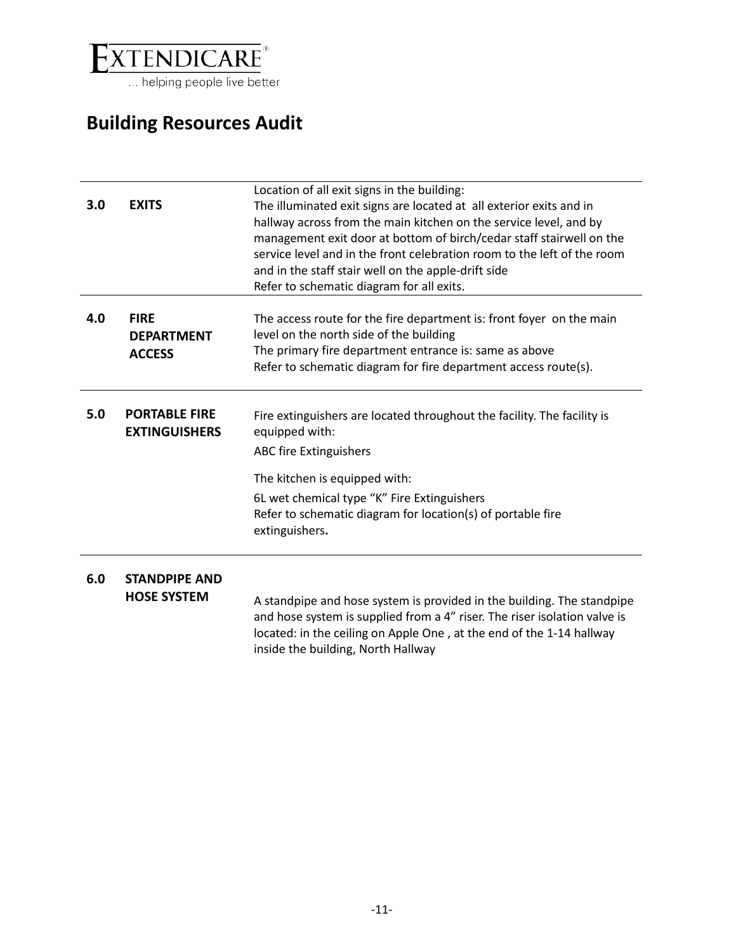

| 3.0 | <b>EXITS</b>                                      | Location of all exit signs in the building:<br>The illuminated exit signs are located at all exterior exits and in<br>hallway across from the main kitchen on the service level, and by<br>management exit door at bottom of birch/cedar staff stairwell on the<br>service level and in the front celebration room to the left of the room<br>and in the staff stair well on the apple-drift side<br>Refer to schematic diagram for all exits. |
|-----|---------------------------------------------------|------------------------------------------------------------------------------------------------------------------------------------------------------------------------------------------------------------------------------------------------------------------------------------------------------------------------------------------------------------------------------------------------------------------------------------------------|
| 4.0 | <b>FIRE</b><br><b>DEPARTMENT</b><br><b>ACCESS</b> | The access route for the fire department is: front foyer on the main<br>level on the north side of the building<br>The primary fire department entrance is: same as above<br>Refer to schematic diagram for fire department access route(s).                                                                                                                                                                                                   |
| 5.0 | <b>PORTABLE FIRE</b><br><b>EXTINGUISHERS</b>      | Fire extinguishers are located throughout the facility. The facility is<br>equipped with:<br><b>ABC fire Extinguishers</b><br>The kitchen is equipped with:<br>6L wet chemical type "K" Fire Extinguishers<br>Refer to schematic diagram for location(s) of portable fire<br>extinguishers.                                                                                                                                                    |
| 6.0 | <b>STANDPIPE AND</b><br><b>HOSE SYSTEM</b>        | A standpipe and hose system is provided in the building. The standpipe<br>and hose system is supplied from a 4" riser. The riser isolation valve is<br>located: in the ceiling on Apple One, at the end of the 1-14 hallway<br>inside the building, North Hallway                                                                                                                                                                              |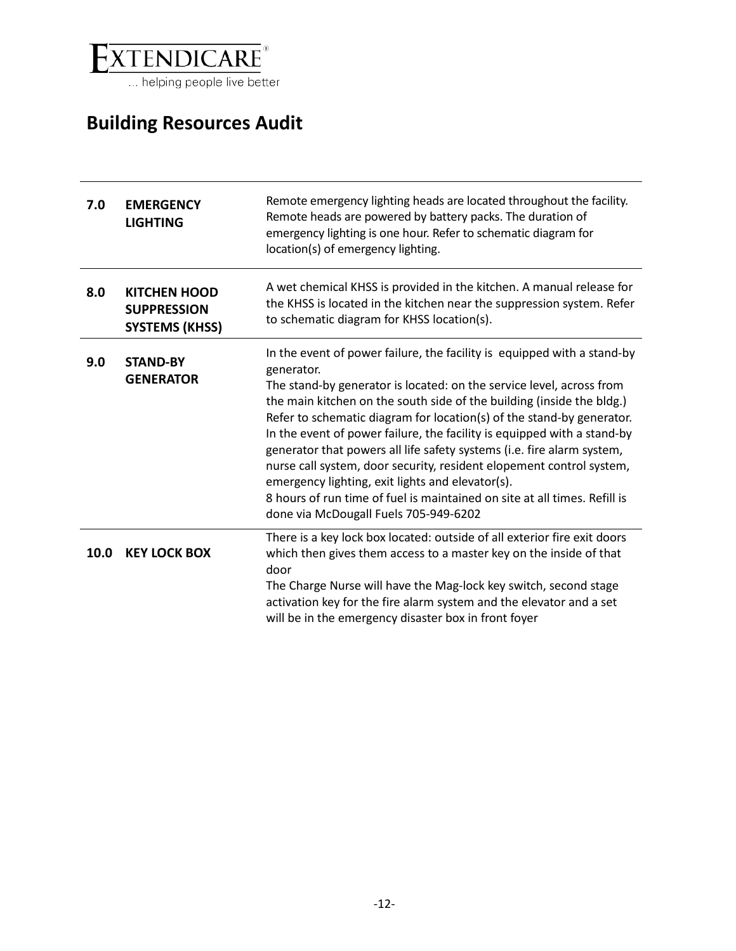

| 7.0  | <b>EMERGENCY</b><br><b>LIGHTING</b>                                | Remote emergency lighting heads are located throughout the facility.<br>Remote heads are powered by battery packs. The duration of<br>emergency lighting is one hour. Refer to schematic diagram for<br>location(s) of emergency lighting.                                                                                                                                                                                                                                                                                                                                                                                                                                                                             |
|------|--------------------------------------------------------------------|------------------------------------------------------------------------------------------------------------------------------------------------------------------------------------------------------------------------------------------------------------------------------------------------------------------------------------------------------------------------------------------------------------------------------------------------------------------------------------------------------------------------------------------------------------------------------------------------------------------------------------------------------------------------------------------------------------------------|
| 8.0  | <b>KITCHEN HOOD</b><br><b>SUPPRESSION</b><br><b>SYSTEMS (KHSS)</b> | A wet chemical KHSS is provided in the kitchen. A manual release for<br>the KHSS is located in the kitchen near the suppression system. Refer<br>to schematic diagram for KHSS location(s).                                                                                                                                                                                                                                                                                                                                                                                                                                                                                                                            |
| 9.0  | <b>STAND-BY</b><br><b>GENERATOR</b>                                | In the event of power failure, the facility is equipped with a stand-by<br>generator.<br>The stand-by generator is located: on the service level, across from<br>the main kitchen on the south side of the building (inside the bldg.)<br>Refer to schematic diagram for location(s) of the stand-by generator.<br>In the event of power failure, the facility is equipped with a stand-by<br>generator that powers all life safety systems (i.e. fire alarm system,<br>nurse call system, door security, resident elopement control system,<br>emergency lighting, exit lights and elevator(s).<br>8 hours of run time of fuel is maintained on site at all times. Refill is<br>done via McDougall Fuels 705-949-6202 |
| 10.0 | <b>KEY LOCK BOX</b>                                                | There is a key lock box located: outside of all exterior fire exit doors<br>which then gives them access to a master key on the inside of that<br>door<br>The Charge Nurse will have the Mag-lock key switch, second stage<br>activation key for the fire alarm system and the elevator and a set<br>will be in the emergency disaster box in front foyer                                                                                                                                                                                                                                                                                                                                                              |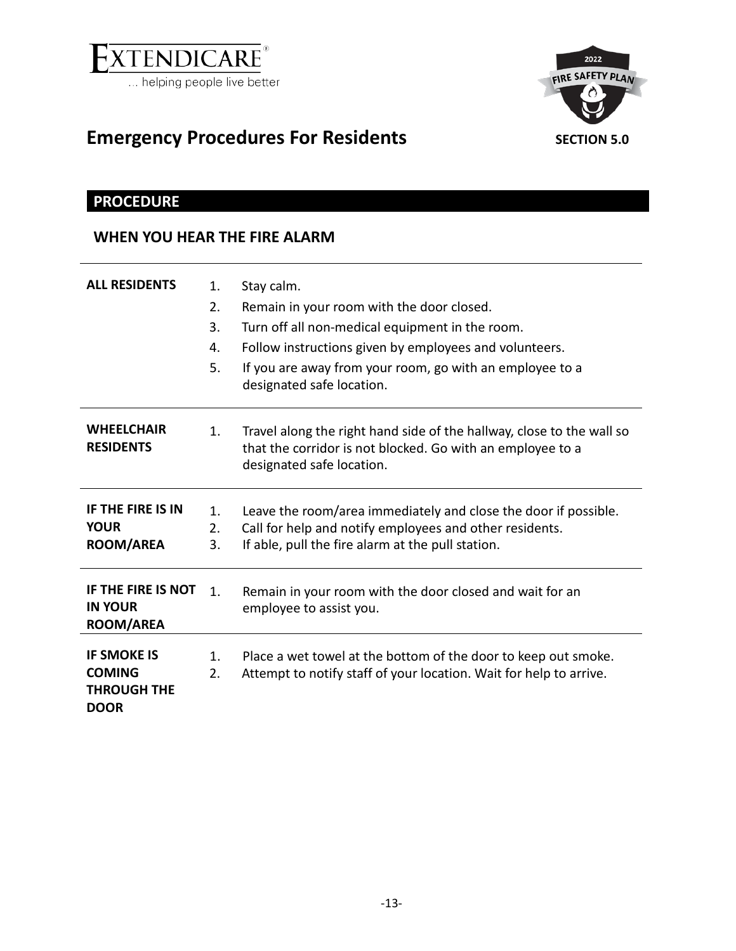

<span id="page-12-1"></span>

# <span id="page-12-0"></span>Emergency Procedures For Residents **SECTION 5.0**

### **PROCEDURE**

### **WHEN YOU HEAR THE FIRE ALARM**

| <b>ALL RESIDENTS</b>                                                     | 1.<br>2.<br>3.<br>4.<br>5. | Stay calm.<br>Remain in your room with the door closed.<br>Turn off all non-medical equipment in the room.<br>Follow instructions given by employees and volunteers.<br>If you are away from your room, go with an employee to a<br>designated safe location. |
|--------------------------------------------------------------------------|----------------------------|---------------------------------------------------------------------------------------------------------------------------------------------------------------------------------------------------------------------------------------------------------------|
| <b>WHEELCHAIR</b><br><b>RESIDENTS</b>                                    | 1.                         | Travel along the right hand side of the hallway, close to the wall so<br>that the corridor is not blocked. Go with an employee to a<br>designated safe location.                                                                                              |
| <b>IF THE FIRE IS IN</b><br><b>YOUR</b><br><b>ROOM/AREA</b>              | $\mathbf{1}$ .<br>2.<br>3. | Leave the room/area immediately and close the door if possible.<br>Call for help and notify employees and other residents.<br>If able, pull the fire alarm at the pull station.                                                                               |
| <b>IF THE FIRE IS NOT</b><br><b>IN YOUR</b><br><b>ROOM/AREA</b>          | $\mathbf{1}$ .             | Remain in your room with the door closed and wait for an<br>employee to assist you.                                                                                                                                                                           |
| <b>IF SMOKE IS</b><br><b>COMING</b><br><b>THROUGH THE</b><br><b>DOOR</b> | $\mathbf{1}$ .<br>2.       | Place a wet towel at the bottom of the door to keep out smoke.<br>Attempt to notify staff of your location. Wait for help to arrive.                                                                                                                          |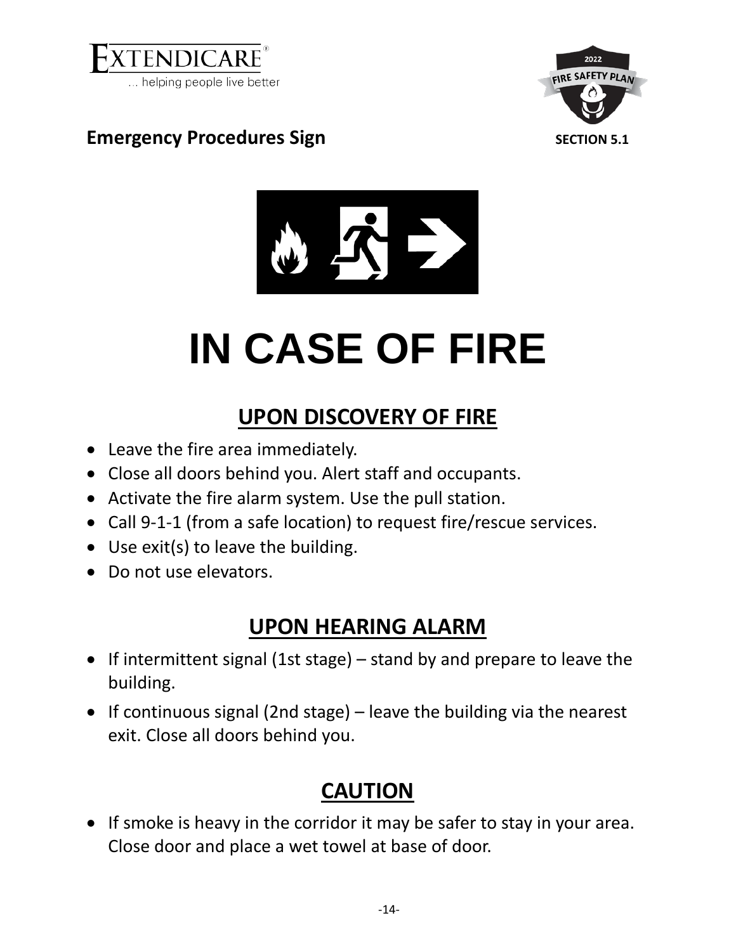

<span id="page-13-1"></span>2022 **FIRE SAFETY PLAN** 

### <span id="page-13-0"></span>**Emergency Procedures Sign <b>SECTION 5.1** SECTION 5.1



# **IN CASE OF FIRE**

# **UPON DISCOVERY OF FIRE**

- Leave the fire area immediately.
- Close all doors behind you. Alert staff and occupants.
- Activate the fire alarm system. Use the pull station.
- Call 9-1-1 (from a safe location) to request fire/rescue services.
- Use exit(s) to leave the building.
- Do not use elevators.

# **UPON HEARING ALARM**

- If intermittent signal (1st stage) stand by and prepare to leave the building.
- If continuous signal (2nd stage) leave the building via the nearest exit. Close all doors behind you.

# **CAUTION**

• If smoke is heavy in the corridor it may be safer to stay in your area. Close door and place a wet towel at base of door.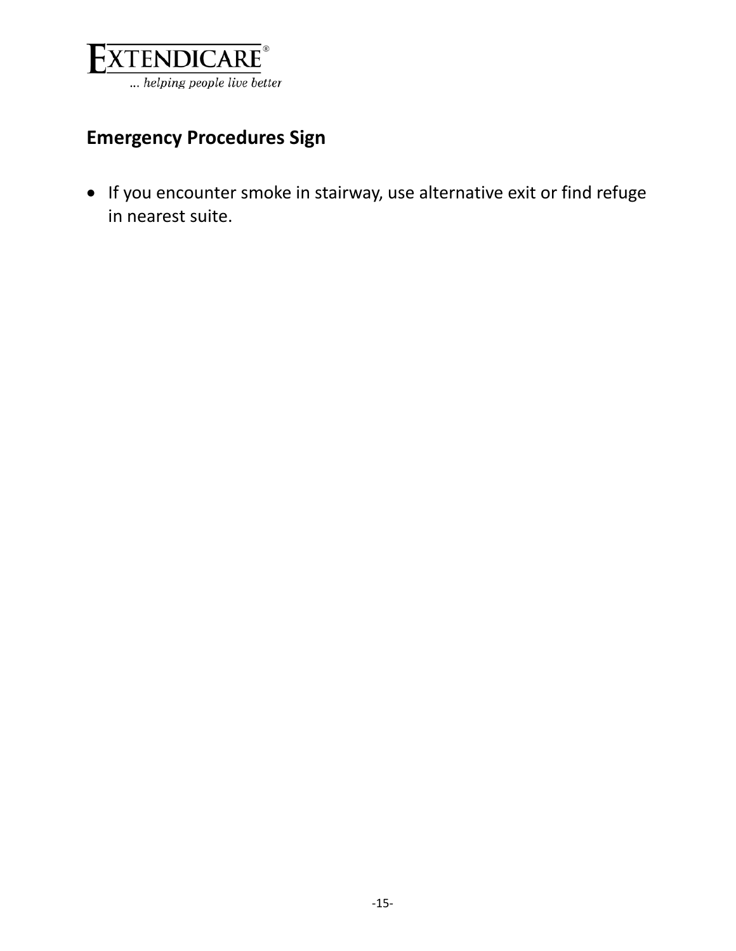

# **Emergency Procedures Sign**

• If you encounter smoke in stairway, use alternative exit or find refuge in nearest suite.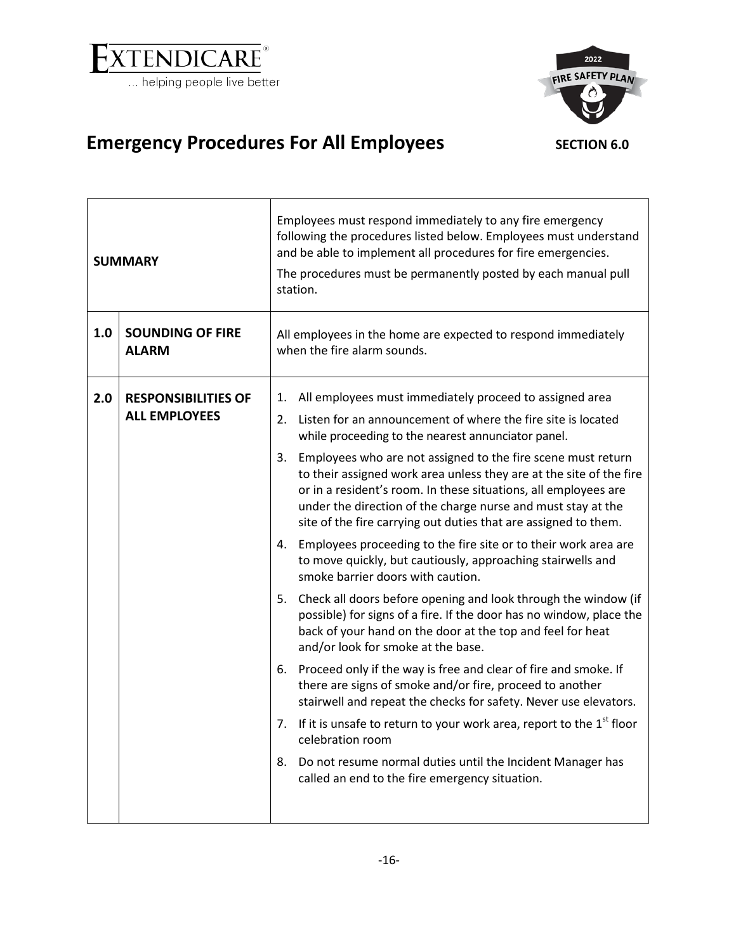

<span id="page-15-1"></span>

# <span id="page-15-0"></span>Emergency Procedures For All Employees SECTION 6.0

| <b>SUMMARY</b>      |                                                    | Employees must respond immediately to any fire emergency<br>following the procedures listed below. Employees must understand<br>and be able to implement all procedures for fire emergencies.<br>The procedures must be permanently posted by each manual pull<br>station.                                                                                                                                                                                                                                                                                                                                                                                                                                                                                                                                                                                                                                                                                                                                                                                                                                                                                                                                                                                                                                                                                                                                   |
|---------------------|----------------------------------------------------|--------------------------------------------------------------------------------------------------------------------------------------------------------------------------------------------------------------------------------------------------------------------------------------------------------------------------------------------------------------------------------------------------------------------------------------------------------------------------------------------------------------------------------------------------------------------------------------------------------------------------------------------------------------------------------------------------------------------------------------------------------------------------------------------------------------------------------------------------------------------------------------------------------------------------------------------------------------------------------------------------------------------------------------------------------------------------------------------------------------------------------------------------------------------------------------------------------------------------------------------------------------------------------------------------------------------------------------------------------------------------------------------------------------|
| 1.0<br><b>ALARM</b> | <b>SOUNDING OF FIRE</b>                            | All employees in the home are expected to respond immediately<br>when the fire alarm sounds.                                                                                                                                                                                                                                                                                                                                                                                                                                                                                                                                                                                                                                                                                                                                                                                                                                                                                                                                                                                                                                                                                                                                                                                                                                                                                                                 |
| 2.0                 | <b>RESPONSIBILITIES OF</b><br><b>ALL EMPLOYEES</b> | All employees must immediately proceed to assigned area<br>1.<br>Listen for an announcement of where the fire site is located<br>2.<br>while proceeding to the nearest annunciator panel.<br>Employees who are not assigned to the fire scene must return<br>3.<br>to their assigned work area unless they are at the site of the fire<br>or in a resident's room. In these situations, all employees are<br>under the direction of the charge nurse and must stay at the<br>site of the fire carrying out duties that are assigned to them.<br>Employees proceeding to the fire site or to their work area are<br>4.<br>to move quickly, but cautiously, approaching stairwells and<br>smoke barrier doors with caution.<br>5. Check all doors before opening and look through the window (if<br>possible) for signs of a fire. If the door has no window, place the<br>back of your hand on the door at the top and feel for heat<br>and/or look for smoke at the base.<br>Proceed only if the way is free and clear of fire and smoke. If<br>6.<br>there are signs of smoke and/or fire, proceed to another<br>stairwell and repeat the checks for safety. Never use elevators.<br>If it is unsafe to return to your work area, report to the $1st$ floor<br>7.<br>celebration room<br>8.<br>Do not resume normal duties until the Incident Manager has<br>called an end to the fire emergency situation. |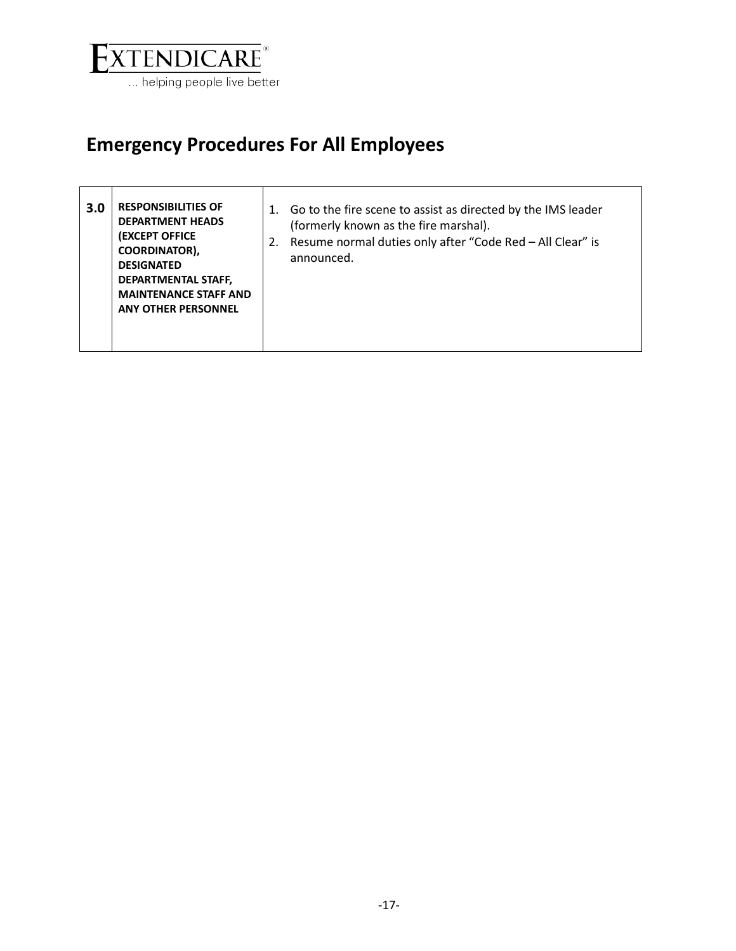

 $\mathsf{r}$ 

# **Emergency Procedures For All Employees**

| 3.0 | <b>RESPONSIBILITIES OF</b><br><b>DEPARTMENT HEADS</b><br><b>(EXCEPT OFFICE</b><br><b>COORDINATOR),</b><br><b>DESIGNATED</b><br><b>DEPARTMENTAL STAFF,</b><br><b>MAINTENANCE STAFF AND</b><br><b>ANY OTHER PERSONNEL</b> | Go to the fire scene to assist as directed by the IMS leader<br>1.<br>(formerly known as the fire marshal).<br>Resume normal duties only after "Code Red - All Clear" is<br>2.<br>announced. |
|-----|-------------------------------------------------------------------------------------------------------------------------------------------------------------------------------------------------------------------------|----------------------------------------------------------------------------------------------------------------------------------------------------------------------------------------------|
|-----|-------------------------------------------------------------------------------------------------------------------------------------------------------------------------------------------------------------------------|----------------------------------------------------------------------------------------------------------------------------------------------------------------------------------------------|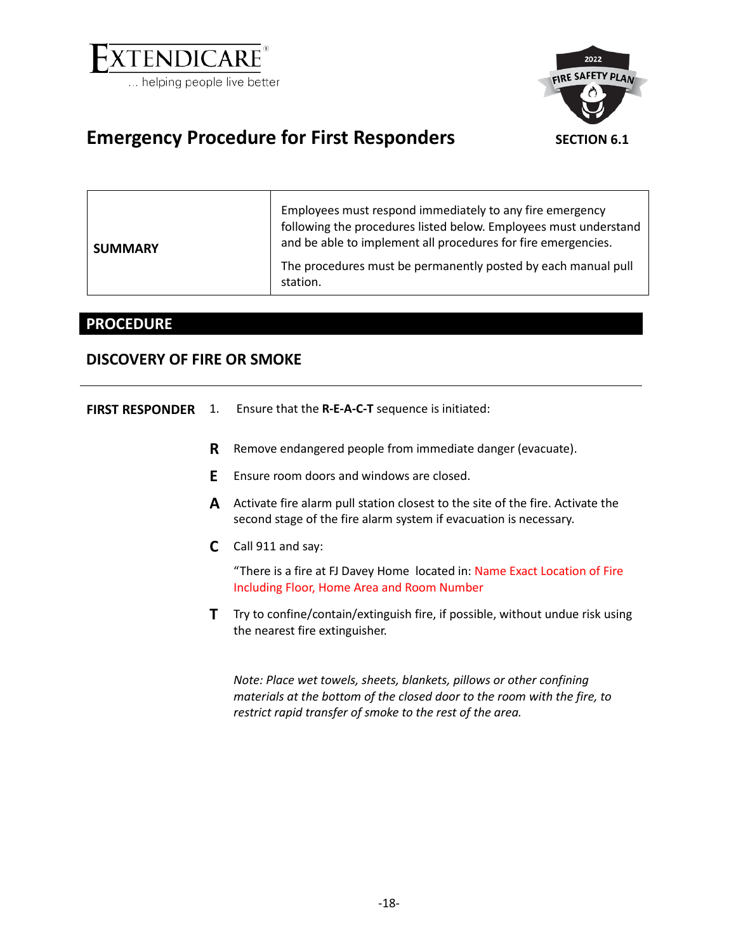

<span id="page-17-1"></span>

### <span id="page-17-0"></span>Emergency Procedure for First Responders SECTION 6.1

| <b>SUMMARY</b> | Employees must respond immediately to any fire emergency<br>following the procedures listed below. Employees must understand<br>and be able to implement all procedures for fire emergencies. |
|----------------|-----------------------------------------------------------------------------------------------------------------------------------------------------------------------------------------------|
|                | The procedures must be permanently posted by each manual pull<br>station.                                                                                                                     |

### **PROCEDURE**

### **DISCOVERY OF FIRE OR SMOKE**

| <b>FIRST RESPONDER</b> | 1. | Ensure that the <b>R-E-A-C-T</b> sequence is initiated:                                                                                             |
|------------------------|----|-----------------------------------------------------------------------------------------------------------------------------------------------------|
|                        | R  | Remove endangered people from immediate danger (evacuate).                                                                                          |
|                        | E  | Ensure room doors and windows are closed.                                                                                                           |
|                        | A  | Activate fire alarm pull station closest to the site of the fire. Activate the<br>second stage of the fire alarm system if evacuation is necessary. |
|                        | C  | Call 911 and say:                                                                                                                                   |
|                        |    | "There is a fire at FJ Davey Home located in: Name Exact Location of Fire<br>Including Floor, Home Area and Room Number                             |
|                        |    | Try to confine/contain/extinguish fire, if possible, without undue risk using<br>the nearest fire extinguisher.                                     |
|                        |    | Note: Place wet towels, sheets, blankets, pillows or other confining                                                                                |

*materials at the bottom of the closed door to the room with the fire, to restrict rapid transfer of smoke to the rest of the area.*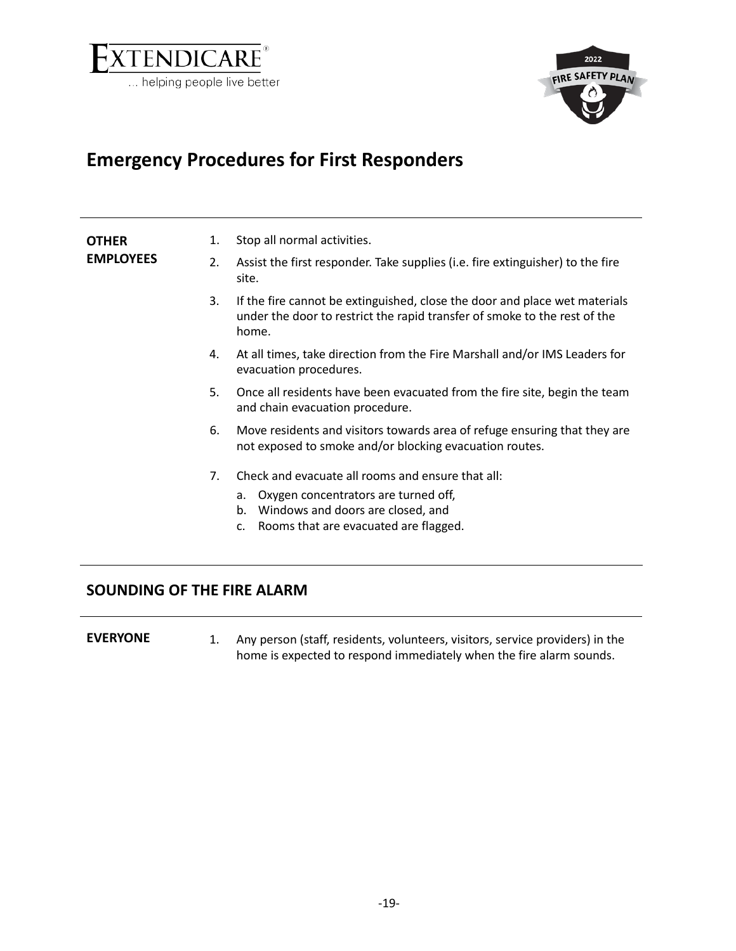



## **Emergency Procedures for First Responders**

| <b>OTHER</b>     | 1. | Stop all normal activities.                                                                                                                                                               |
|------------------|----|-------------------------------------------------------------------------------------------------------------------------------------------------------------------------------------------|
| <b>EMPLOYEES</b> | 2. | Assist the first responder. Take supplies (i.e. fire extinguisher) to the fire<br>site.                                                                                                   |
|                  | 3. | If the fire cannot be extinguished, close the door and place wet materials<br>under the door to restrict the rapid transfer of smoke to the rest of the<br>home.                          |
|                  | 4. | At all times, take direction from the Fire Marshall and/or IMS Leaders for<br>evacuation procedures.                                                                                      |
|                  | 5. | Once all residents have been evacuated from the fire site, begin the team<br>and chain evacuation procedure.                                                                              |
|                  | 6. | Move residents and visitors towards area of refuge ensuring that they are<br>not exposed to smoke and/or blocking evacuation routes.                                                      |
|                  | 7. | Check and evacuate all rooms and ensure that all:<br>Oxygen concentrators are turned off,<br>a.<br>Windows and doors are closed, and<br>b.<br>Rooms that are evacuated are flagged.<br>c. |

### **SOUNDING OF THE FIRE ALARM**

**EVERYONE** 1. Any person (staff, residents, volunteers, visitors, service providers) in the home is expected to respond immediately when the fire alarm sounds.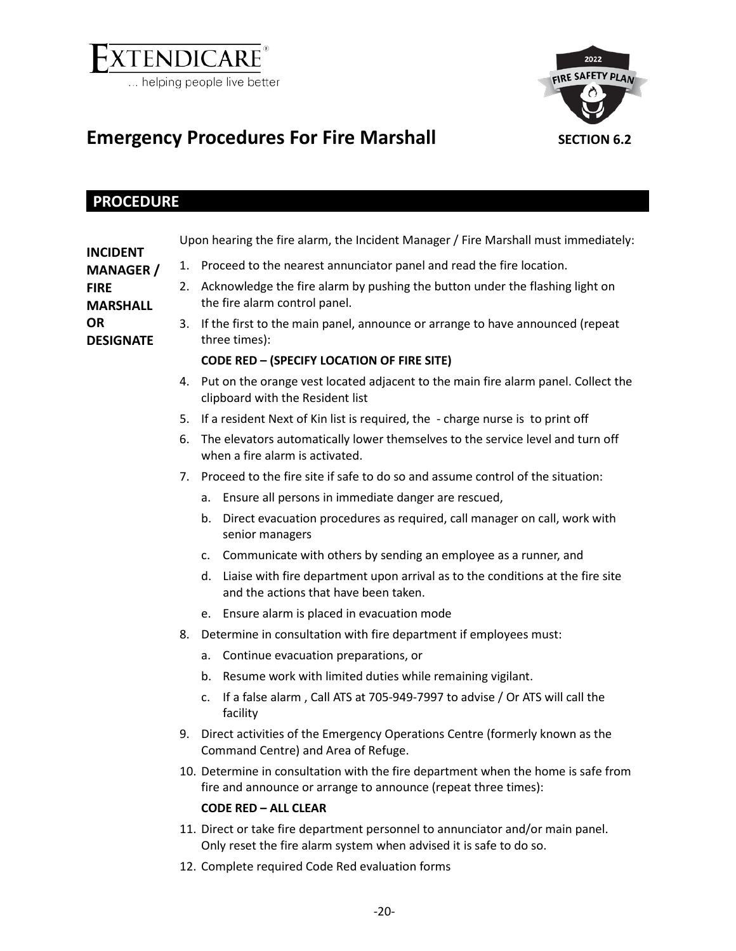

<span id="page-19-1"></span>

# <span id="page-19-0"></span>Emergency Procedures For Fire Marshall **SECTION** 6.2

### **PROCEDURE**

|                                |    | Upon hearing the fire alarm, the Incident Manager / Fire Marshall must immediately:                                                                 |  |  |  |  |
|--------------------------------|----|-----------------------------------------------------------------------------------------------------------------------------------------------------|--|--|--|--|
| INCIDENT<br><b>MANAGER</b> /   |    | 1. Proceed to the nearest annunciator panel and read the fire location.                                                                             |  |  |  |  |
| <b>FIRE</b><br><b>MARSHALL</b> | 2. | Acknowledge the fire alarm by pushing the button under the flashing light on<br>the fire alarm control panel.                                       |  |  |  |  |
| OR<br><b>DESIGNATE</b>         |    | 3. If the first to the main panel, announce or arrange to have announced (repeat<br>three times):                                                   |  |  |  |  |
|                                |    | <b>CODE RED - (SPECIFY LOCATION OF FIRE SITE)</b>                                                                                                   |  |  |  |  |
|                                |    | 4. Put on the orange vest located adjacent to the main fire alarm panel. Collect the<br>clipboard with the Resident list                            |  |  |  |  |
|                                |    | 5. If a resident Next of Kin list is required, the - charge nurse is to print off                                                                   |  |  |  |  |
|                                |    | 6. The elevators automatically lower themselves to the service level and turn off<br>when a fire alarm is activated.                                |  |  |  |  |
|                                |    | 7. Proceed to the fire site if safe to do so and assume control of the situation:                                                                   |  |  |  |  |
|                                |    | a. Ensure all persons in immediate danger are rescued,                                                                                              |  |  |  |  |
|                                |    | Direct evacuation procedures as required, call manager on call, work with<br>b.<br>senior managers                                                  |  |  |  |  |
|                                |    | Communicate with others by sending an employee as a runner, and<br>c.                                                                               |  |  |  |  |
|                                |    | Liaise with fire department upon arrival as to the conditions at the fire site<br>d.<br>and the actions that have been taken.                       |  |  |  |  |
|                                |    | Ensure alarm is placed in evacuation mode<br>e.                                                                                                     |  |  |  |  |
|                                | 8. | Determine in consultation with fire department if employees must:                                                                                   |  |  |  |  |
|                                |    | Continue evacuation preparations, or<br>a.                                                                                                          |  |  |  |  |
|                                |    | Resume work with limited duties while remaining vigilant.<br>b.                                                                                     |  |  |  |  |
|                                |    | If a false alarm, Call ATS at 705-949-7997 to advise / Or ATS will call the<br>$\mathsf{C}$ .<br>facility                                           |  |  |  |  |
|                                |    | 9. Direct activities of the Emergency Operations Centre (formerly known as the<br>Command Centre) and Area of Refuge.                               |  |  |  |  |
|                                |    | 10. Determine in consultation with the fire department when the home is safe from<br>fire and announce or arrange to announce (repeat three times): |  |  |  |  |
|                                |    | <b>CODE RED - ALL CLEAR</b>                                                                                                                         |  |  |  |  |
|                                |    | 11. Direct or take fire department personnel to annunciator and/or main panel.                                                                      |  |  |  |  |

- Only reset the fire alarm system when advised it is safe to do so.
- 12. Complete required Code Red evaluation forms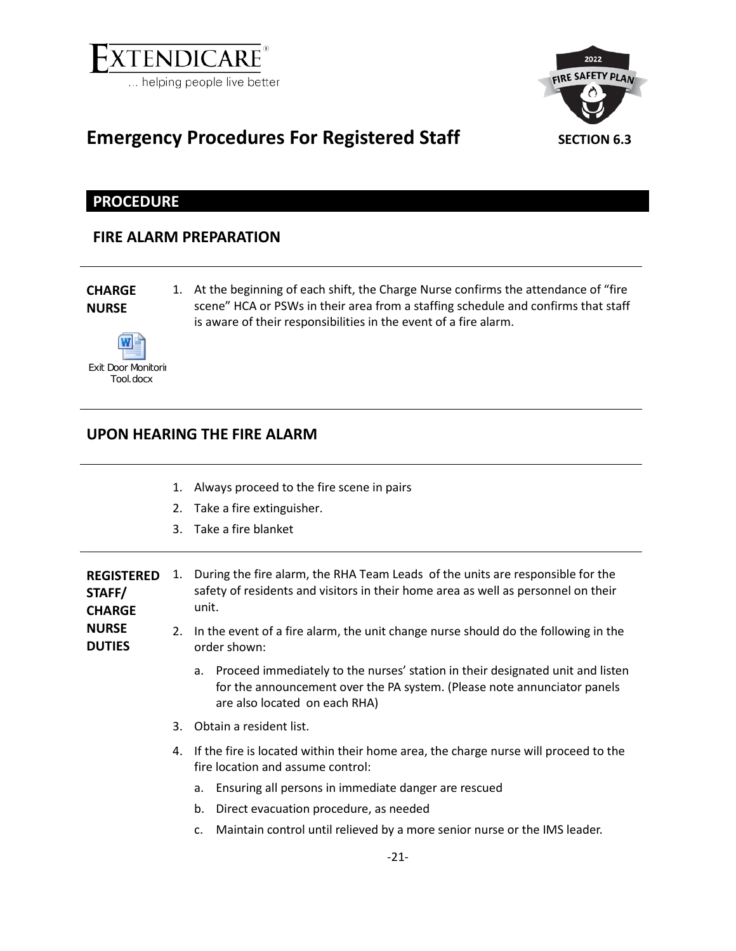

<span id="page-20-1"></span>

### <span id="page-20-0"></span>**Emergency Procedures For Registered Staff** SECTION 6.3

**PROCEDURE**

### **FIRE ALARM PREPARATION**

### **CHARGE NURSE**

**NURSE** 

1. At the beginning of each shift, the Charge Nurse confirms the attendance of "fire scene" HCA or PSWs in their area from a staffing schedule and confirms that staff is aware of their responsibilities in the event of a fire alarm.



### **UPON HEARING THE FIRE ALARM**

- 1. Always proceed to the fire scene in pairs
- 2. Take a fire extinguisher.
- 3. Take a fire blanket

**REGISTERED**  1. During the fire alarm, the RHA Team Leads of the units are responsible for the **STAFF/ CHARGE**  safety of residents and visitors in their home area as well as personnel on their unit.

**DUTIES** 2. In the event of a fire alarm, the unit change nurse should do the following in the order shown:

- a. Proceed immediately to the nurses' station in their designated unit and listen for the announcement over the PA system. (Please note annunciator panels are also located on each RHA)
- 3. Obtain a resident list.
- 4. If the fire is located within their home area, the charge nurse will proceed to the fire location and assume control:
	- a. Ensuring all persons in immediate danger are rescued
	- b. Direct evacuation procedure, as needed
	- c. Maintain control until relieved by a more senior nurse or the IMS leader.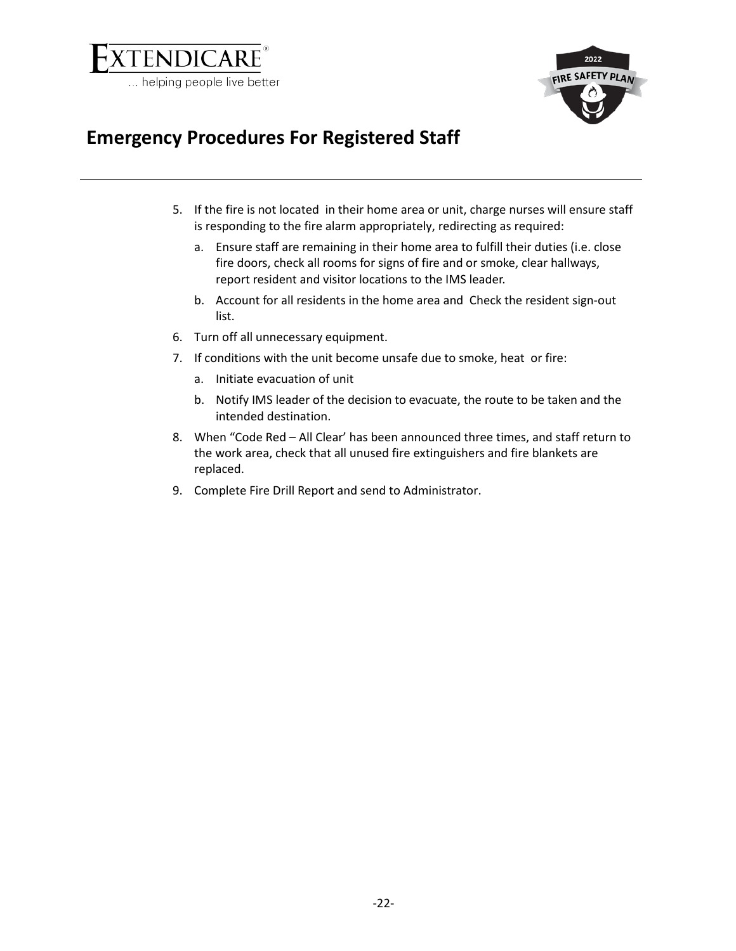



### **Emergency Procedures For Registered Staff**

- 5. If the fire is not located in their home area or unit, charge nurses will ensure staff is responding to the fire alarm appropriately, redirecting as required:
	- a. Ensure staff are remaining in their home area to fulfill their duties (i.e. close fire doors, check all rooms for signs of fire and or smoke, clear hallways, report resident and visitor locations to the IMS leader.
	- b. Account for all residents in the home area and Check the resident sign-out list.
- 6. Turn off all unnecessary equipment.
- 7. If conditions with the unit become unsafe due to smoke, heat or fire:
	- a. Initiate evacuation of unit
	- b. Notify IMS leader of the decision to evacuate, the route to be taken and the intended destination.
- 8. When "Code Red All Clear' has been announced three times, and staff return to the work area, check that all unused fire extinguishers and fire blankets are replaced.
- 9. Complete Fire Drill Report and send to Administrator.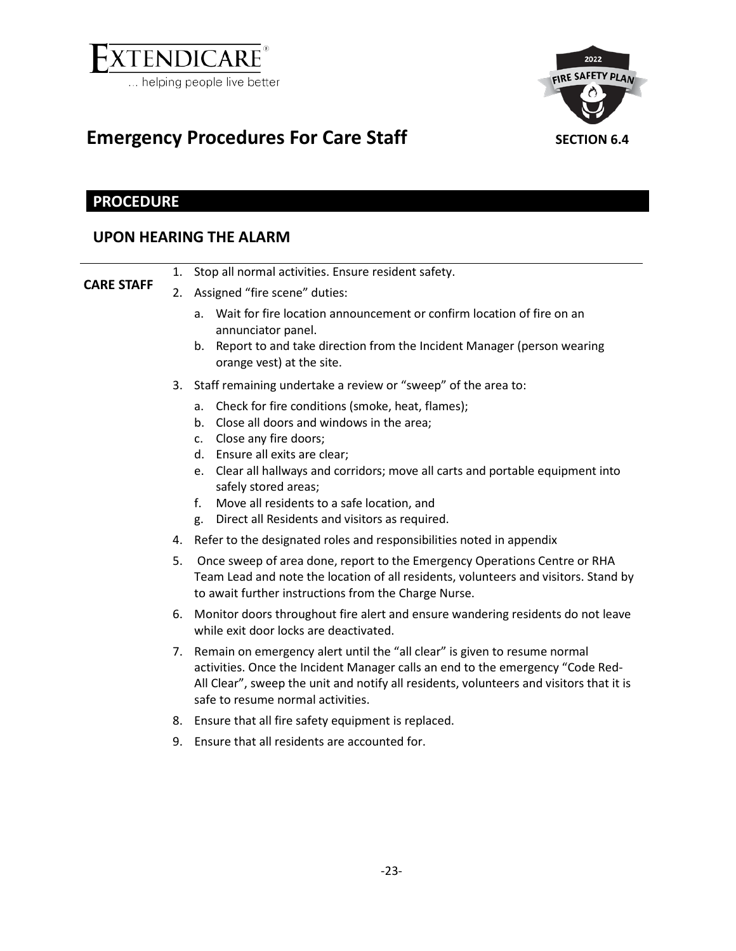

<span id="page-22-1"></span>

# <span id="page-22-0"></span>Emergency Procedures For Care Staff SECTION 6.4

### **PROCEDURE**

### **UPON HEARING THE ALARM**

|                   |    | 1. Stop all normal activities. Ensure resident safety.                                                                                                                                                                                                                                         |
|-------------------|----|------------------------------------------------------------------------------------------------------------------------------------------------------------------------------------------------------------------------------------------------------------------------------------------------|
| <b>CARE STAFF</b> |    | 2. Assigned "fire scene" duties:                                                                                                                                                                                                                                                               |
|                   |    | a. Wait for fire location announcement or confirm location of fire on an<br>annunciator panel.<br>b. Report to and take direction from the Incident Manager (person wearing                                                                                                                    |
|                   |    | orange vest) at the site.                                                                                                                                                                                                                                                                      |
|                   |    | 3. Staff remaining undertake a review or "sweep" of the area to:                                                                                                                                                                                                                               |
|                   |    | a. Check for fire conditions (smoke, heat, flames);<br>Close all doors and windows in the area;<br>b.<br>c. Close any fire doors;<br>d. Ensure all exits are clear;                                                                                                                            |
|                   |    | e. Clear all hallways and corridors; move all carts and portable equipment into<br>safely stored areas;                                                                                                                                                                                        |
|                   |    | Move all residents to a safe location, and<br>f.<br>Direct all Residents and visitors as required.<br>g.                                                                                                                                                                                       |
|                   |    | 4. Refer to the designated roles and responsibilities noted in appendix                                                                                                                                                                                                                        |
|                   | 5. | Once sweep of area done, report to the Emergency Operations Centre or RHA<br>Team Lead and note the location of all residents, volunteers and visitors. Stand by<br>to await further instructions from the Charge Nurse.                                                                       |
|                   |    | 6. Monitor doors throughout fire alert and ensure wandering residents do not leave<br>while exit door locks are deactivated.                                                                                                                                                                   |
|                   |    | 7. Remain on emergency alert until the "all clear" is given to resume normal<br>activities. Once the Incident Manager calls an end to the emergency "Code Red-<br>All Clear", sweep the unit and notify all residents, volunteers and visitors that it is<br>safe to resume normal activities. |
|                   |    | 8. Ensure that all fire safety equipment is replaced.                                                                                                                                                                                                                                          |
|                   |    | 9. Ensure that all residents are accounted for.                                                                                                                                                                                                                                                |
|                   |    |                                                                                                                                                                                                                                                                                                |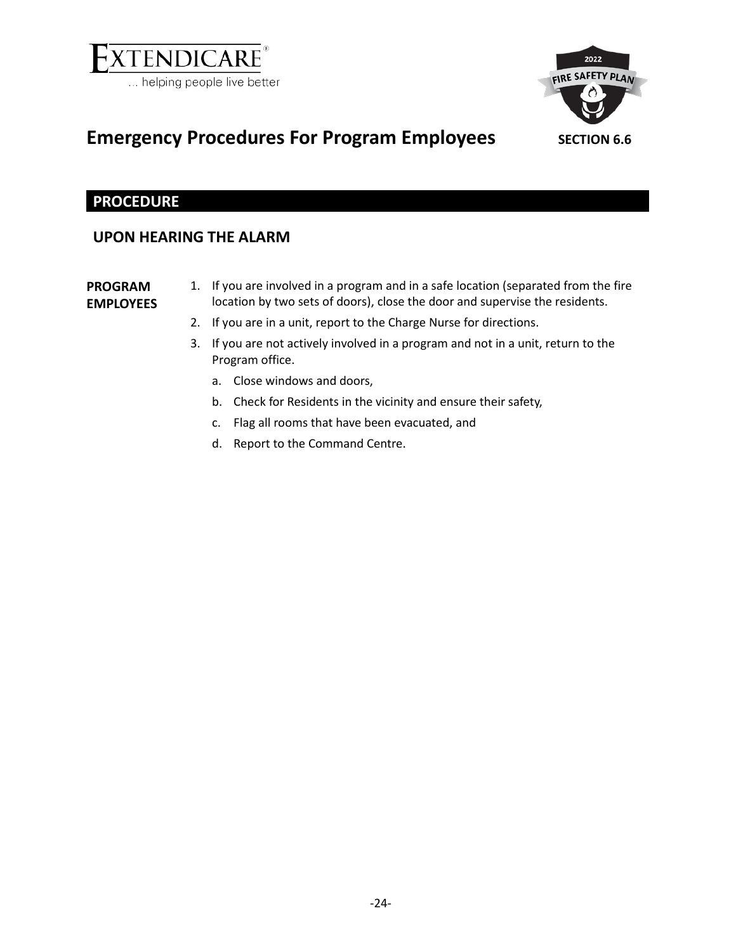



### <span id="page-23-0"></span>**Emergency Procedures For Program Employees** SECTION 6.6

<span id="page-23-1"></span>

### **PROCEDURE**

### **UPON HEARING THE ALARM**

### **PROGRAM EMPLOYEES**

- 1. If you are involved in a program and in a safe location (separated from the fire location by two sets of doors), close the door and supervise the residents.
- 2. If you are in a unit, report to the Charge Nurse for directions.
- 3. If you are not actively involved in a program and not in a unit, return to the Program office.
	- a. Close windows and doors,
	- b. Check for Residents in the vicinity and ensure their safety,
	- c. Flag all rooms that have been evacuated, and
	- d. Report to the Command Centre.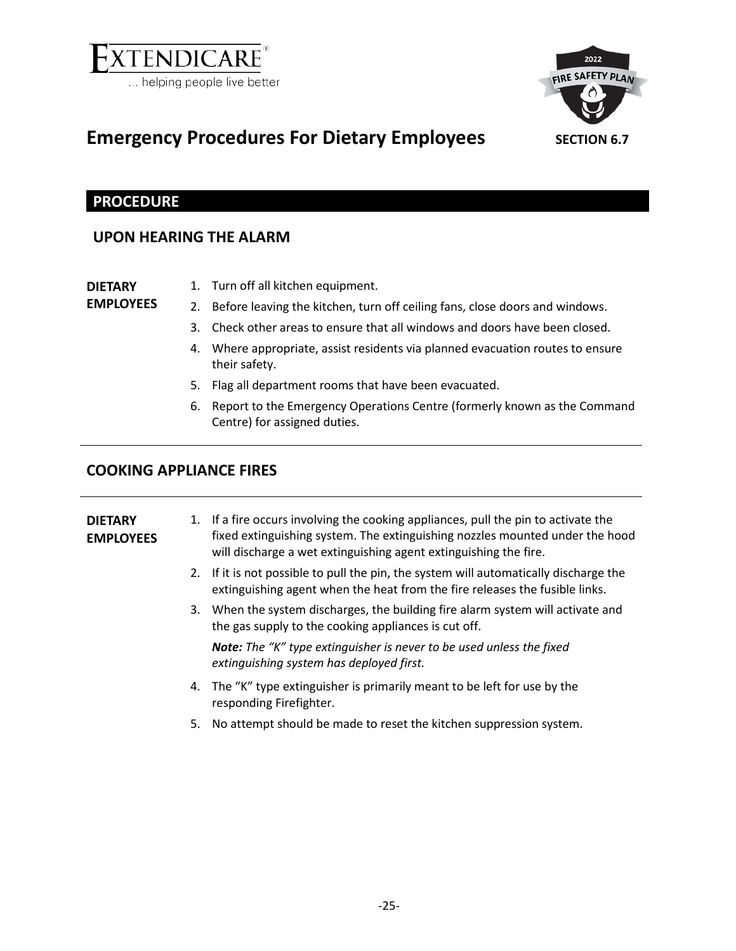

<span id="page-24-1"></span>

### <span id="page-24-0"></span>**Emergency Procedures For Dietary Employees** SECTION 6.7

### **PROCEDURE**

### **UPON HEARING THE ALARM**

**DIETARY EMPLOYEES**

- 1. Turn off all kitchen equipment.
- 2. Before leaving the kitchen, turn off ceiling fans, close doors and windows.
- 3. Check other areas to ensure that all windows and doors have been closed.
- 4. Where appropriate, assist residents via planned evacuation routes to ensure their safety.
- 5. Flag all department rooms that have been evacuated.
- 6. Report to the Emergency Operations Centre (formerly known as the Command Centre) for assigned duties.

### **COOKING APPLIANCE FIRES**

| <b>DIETARY</b><br><b>EMPLOYEES</b> |    | 1. If a fire occurs involving the cooking appliances, pull the pin to activate the<br>fixed extinguishing system. The extinguishing nozzles mounted under the hood<br>will discharge a wet extinguishing agent extinguishing the fire. |
|------------------------------------|----|----------------------------------------------------------------------------------------------------------------------------------------------------------------------------------------------------------------------------------------|
|                                    |    | 2. If it is not possible to pull the pin, the system will automatically discharge the<br>extinguishing agent when the heat from the fire releases the fusible links.                                                                   |
|                                    |    | 3. When the system discharges, the building fire alarm system will activate and<br>the gas supply to the cooking appliances is cut off.                                                                                                |
|                                    |    | <b>Note:</b> The "K" type extinguisher is never to be used unless the fixed<br>extinguishing system has deployed first.                                                                                                                |
|                                    |    | 4. The "K" type extinguisher is primarily meant to be left for use by the<br>responding Firefighter.                                                                                                                                   |
|                                    | 5. | No attempt should be made to reset the kitchen suppression system.                                                                                                                                                                     |
|                                    |    |                                                                                                                                                                                                                                        |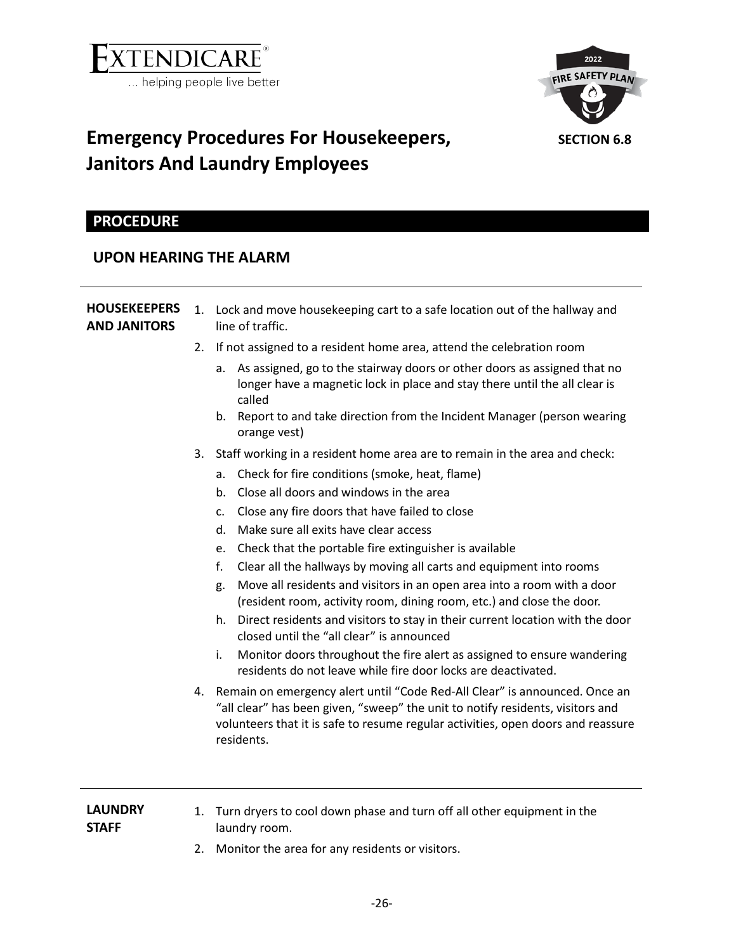

<span id="page-25-1"></span>

# <span id="page-25-0"></span>**Emergency Procedures For Housekeepers, Janitors And Laundry Employees**

### **PROCEDURE**

### **UPON HEARING THE ALARM**

| <b>HOUSEKEEPERS</b><br><b>AND JANITORS</b> | 2.       | 1. Lock and move housekeeping cart to a safe location out of the hallway and<br>line of traffic.                                                                                                                                                                                                                                                                                                                                                                                                                                                                                                                                                                                                                                                                                                                                                                                                                                                                                                                                                                                                                                                          |
|--------------------------------------------|----------|-----------------------------------------------------------------------------------------------------------------------------------------------------------------------------------------------------------------------------------------------------------------------------------------------------------------------------------------------------------------------------------------------------------------------------------------------------------------------------------------------------------------------------------------------------------------------------------------------------------------------------------------------------------------------------------------------------------------------------------------------------------------------------------------------------------------------------------------------------------------------------------------------------------------------------------------------------------------------------------------------------------------------------------------------------------------------------------------------------------------------------------------------------------|
|                                            |          | If not assigned to a resident home area, attend the celebration room<br>As assigned, go to the stairway doors or other doors as assigned that no<br>a.<br>longer have a magnetic lock in place and stay there until the all clear is<br>called<br>Report to and take direction from the Incident Manager (person wearing<br>b.<br>orange vest)                                                                                                                                                                                                                                                                                                                                                                                                                                                                                                                                                                                                                                                                                                                                                                                                            |
|                                            | 3.<br>4. | Staff working in a resident home area are to remain in the area and check:<br>Check for fire conditions (smoke, heat, flame)<br>a.<br>Close all doors and windows in the area<br>b.<br>Close any fire doors that have failed to close<br>c.<br>Make sure all exits have clear access<br>d.<br>Check that the portable fire extinguisher is available<br>e.<br>f.<br>Clear all the hallways by moving all carts and equipment into rooms<br>Move all residents and visitors in an open area into a room with a door<br>g.<br>(resident room, activity room, dining room, etc.) and close the door.<br>Direct residents and visitors to stay in their current location with the door<br>h.<br>closed until the "all clear" is announced<br>Monitor doors throughout the fire alert as assigned to ensure wandering<br>i.<br>residents do not leave while fire door locks are deactivated.<br>Remain on emergency alert until "Code Red-All Clear" is announced. Once an<br>"all clear" has been given, "sweep" the unit to notify residents, visitors and<br>volunteers that it is safe to resume regular activities, open doors and reassure<br>residents. |
| <b>LAUNDRY</b><br><b>STAFF</b>             | 1.       | Turn dryers to cool down phase and turn off all other equipment in the<br>laundry room.                                                                                                                                                                                                                                                                                                                                                                                                                                                                                                                                                                                                                                                                                                                                                                                                                                                                                                                                                                                                                                                                   |

2. Monitor the area for any residents or visitors.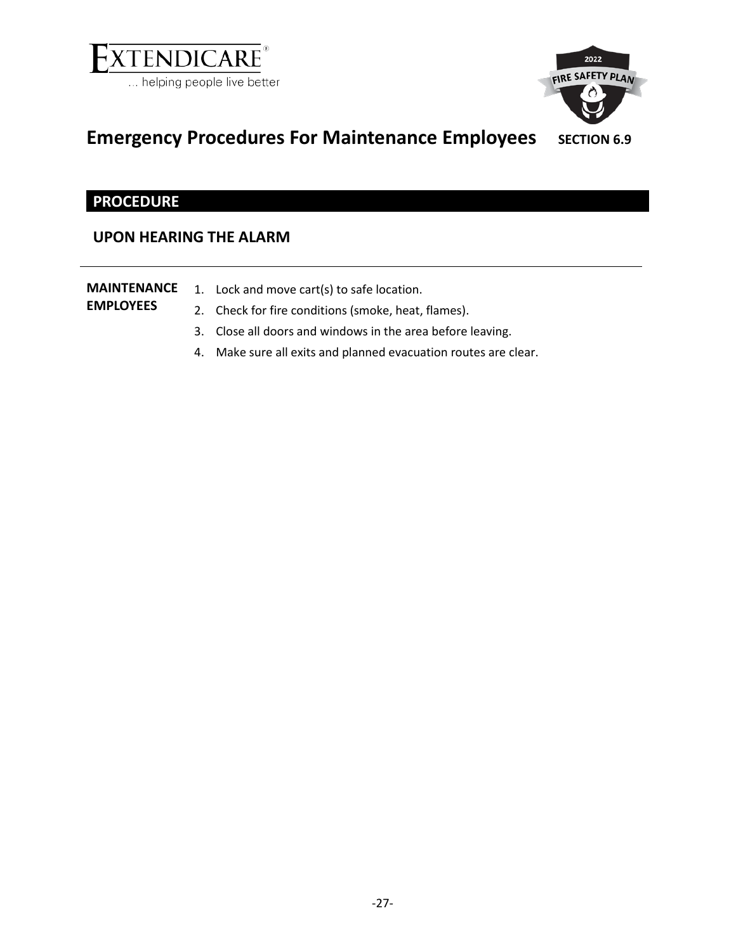

<span id="page-26-1"></span>

# <span id="page-26-0"></span>**Emergency Procedures For Maintenance Employees** SECTION 6.9

### **PROCEDURE**

### **UPON HEARING THE ALARM**

| <b>MAINTENANCE</b><br><b>EMPLOYEES</b> | 1. Lock and move cart(s) to safe location.<br>2. Check for fire conditions (smoke, heat, flames). |  |
|----------------------------------------|---------------------------------------------------------------------------------------------------|--|
|                                        | 3. Close all doors and windows in the area before leaving.                                        |  |
|                                        | 4. Make sure all exits and planned evacuation routes are clear.                                   |  |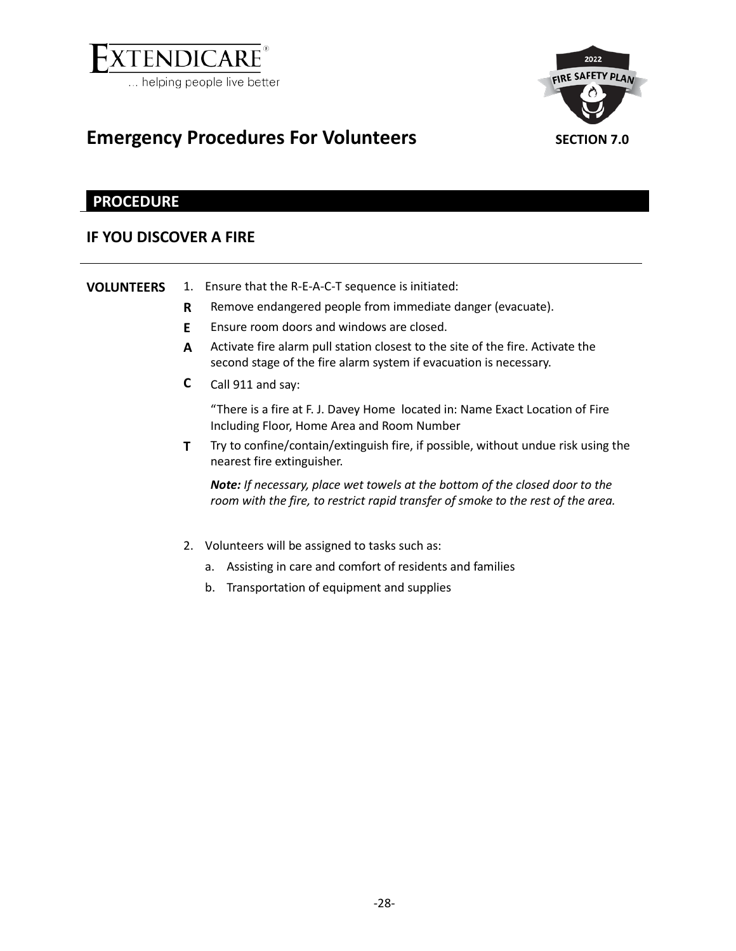

<span id="page-27-1"></span>

### <span id="page-27-0"></span>**Emergency Procedures For Volunteers SECTION** 7.0

### **PROCEDURE**

### **IF YOU DISCOVER A FIRE**

**VOLUNTEERS** 1. Ensure that the R-E-A-C-T sequence is initiated:

- **R** Remove endangered people from immediate danger (evacuate).
- **E** Ensure room doors and windows are closed.
- **A** Activate fire alarm pull station closest to the site of the fire. Activate the second stage of the fire alarm system if evacuation is necessary.
- **C** Call 911 and say:

"There is a fire at F. J. Davey Home located in: Name Exact Location of Fire Including Floor, Home Area and Room Number

**T** Try to confine/contain/extinguish fire, if possible, without undue risk using the nearest fire extinguisher.

*Note: If necessary, place wet towels at the bottom of the closed door to the room with the fire, to restrict rapid transfer of smoke to the rest of the area.*

- 2. Volunteers will be assigned to tasks such as:
	- a. Assisting in care and comfort of residents and families
	- b. Transportation of equipment and supplies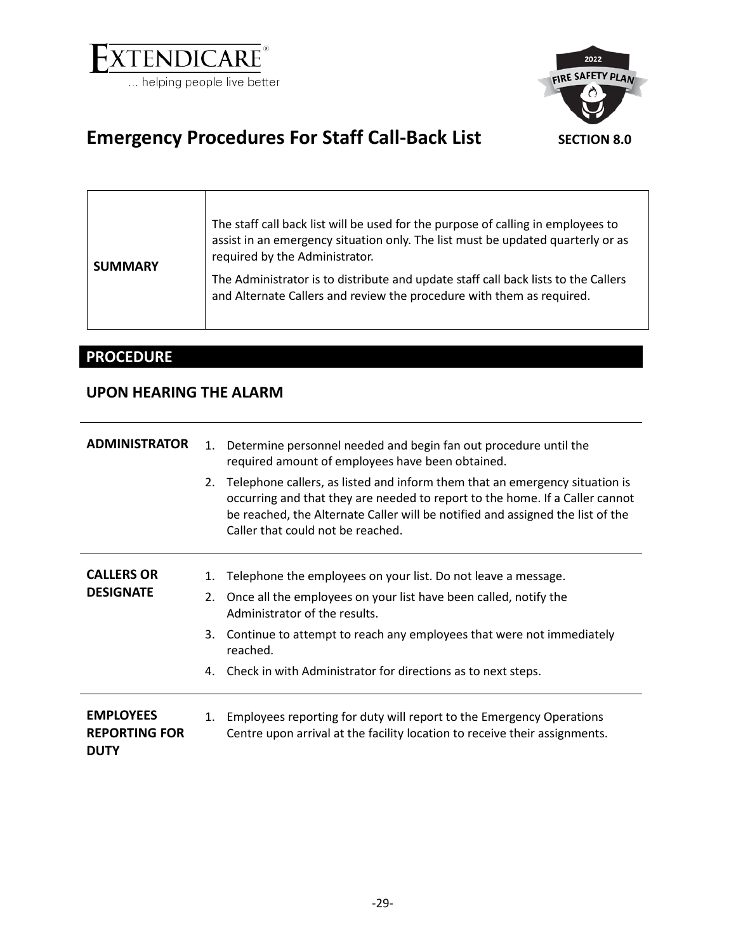

<span id="page-28-1"></span>

# <span id="page-28-0"></span>**Emergency Procedures For Staff Call-Back List** SECTION 8.0

| <b>SUMMARY</b> | The staff call back list will be used for the purpose of calling in employees to<br>assist in an emergency situation only. The list must be updated quarterly or as<br>required by the Administrator. |
|----------------|-------------------------------------------------------------------------------------------------------------------------------------------------------------------------------------------------------|
|                | The Administrator is to distribute and update staff call back lists to the Callers<br>and Alternate Callers and review the procedure with them as required.                                           |

### **PROCEDURE**

### **UPON HEARING THE ALARM**

| <b>ADMINISTRATOR</b>                                    | 2.       | 1. Determine personnel needed and begin fan out procedure until the<br>required amount of employees have been obtained.<br>Telephone callers, as listed and inform them that an emergency situation is<br>occurring and that they are needed to report to the home. If a Caller cannot<br>be reached, the Alternate Caller will be notified and assigned the list of the<br>Caller that could not be reached. |
|---------------------------------------------------------|----------|---------------------------------------------------------------------------------------------------------------------------------------------------------------------------------------------------------------------------------------------------------------------------------------------------------------------------------------------------------------------------------------------------------------|
| <b>CALLERS OR</b><br><b>DESIGNATE</b>                   | 1.<br>2. | Telephone the employees on your list. Do not leave a message.<br>Once all the employees on your list have been called, notify the<br>Administrator of the results.<br>3. Continue to attempt to reach any employees that were not immediately<br>reached.<br>4. Check in with Administrator for directions as to next steps.                                                                                  |
| <b>EMPLOYEES</b><br><b>REPORTING FOR</b><br><b>DUTY</b> |          | 1. Employees reporting for duty will report to the Emergency Operations<br>Centre upon arrival at the facility location to receive their assignments.                                                                                                                                                                                                                                                         |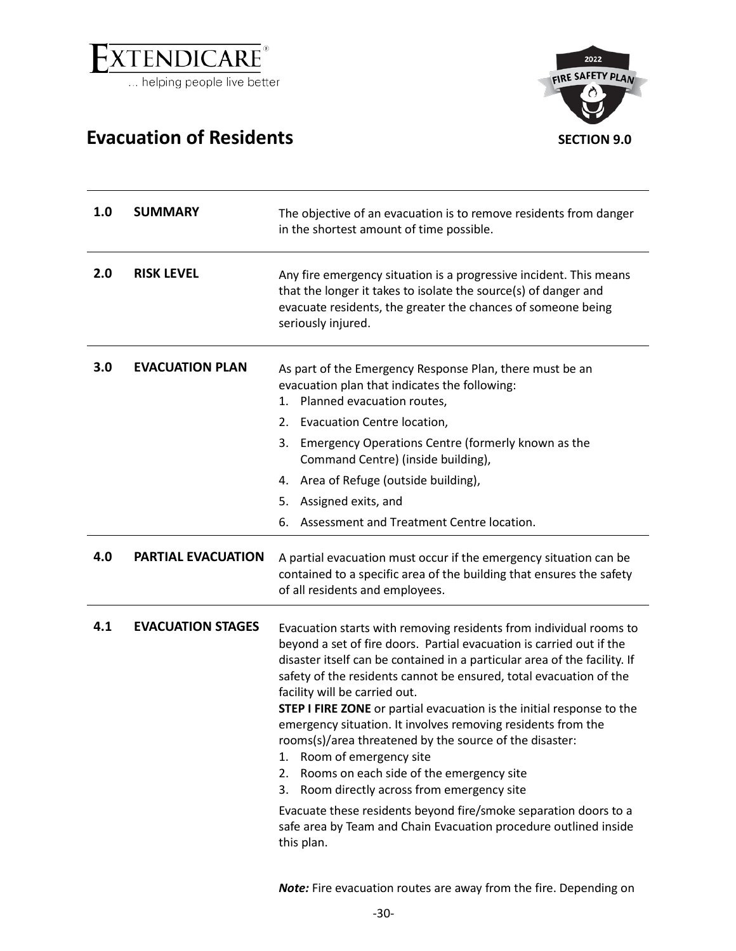

## <span id="page-29-0"></span>**Evacuation of Residents SECTION 9.0**

<span id="page-29-1"></span>

| 1.0 | <b>SUMMARY</b>            | The objective of an evacuation is to remove residents from danger<br>in the shortest amount of time possible.                                                                                                                                                                                                                                                                                                                                                                                                                                                                                                                                                                                                                                                                                                                |
|-----|---------------------------|------------------------------------------------------------------------------------------------------------------------------------------------------------------------------------------------------------------------------------------------------------------------------------------------------------------------------------------------------------------------------------------------------------------------------------------------------------------------------------------------------------------------------------------------------------------------------------------------------------------------------------------------------------------------------------------------------------------------------------------------------------------------------------------------------------------------------|
| 2.0 | <b>RISK LEVEL</b>         | Any fire emergency situation is a progressive incident. This means<br>that the longer it takes to isolate the source(s) of danger and<br>evacuate residents, the greater the chances of someone being<br>seriously injured.                                                                                                                                                                                                                                                                                                                                                                                                                                                                                                                                                                                                  |
| 3.0 | <b>EVACUATION PLAN</b>    | As part of the Emergency Response Plan, there must be an<br>evacuation plan that indicates the following:<br>1. Planned evacuation routes,<br>Evacuation Centre location,<br>2.<br>Emergency Operations Centre (formerly known as the<br>3.<br>Command Centre) (inside building),<br>Area of Refuge (outside building),<br>4.                                                                                                                                                                                                                                                                                                                                                                                                                                                                                                |
|     |                           | Assigned exits, and<br>5.                                                                                                                                                                                                                                                                                                                                                                                                                                                                                                                                                                                                                                                                                                                                                                                                    |
|     |                           | Assessment and Treatment Centre location.<br>6.                                                                                                                                                                                                                                                                                                                                                                                                                                                                                                                                                                                                                                                                                                                                                                              |
| 4.0 | <b>PARTIAL EVACUATION</b> | A partial evacuation must occur if the emergency situation can be<br>contained to a specific area of the building that ensures the safety<br>of all residents and employees.                                                                                                                                                                                                                                                                                                                                                                                                                                                                                                                                                                                                                                                 |
| 4.1 | <b>EVACUATION STAGES</b>  | Evacuation starts with removing residents from individual rooms to<br>beyond a set of fire doors. Partial evacuation is carried out if the<br>disaster itself can be contained in a particular area of the facility. If<br>safety of the residents cannot be ensured, total evacuation of the<br>facility will be carried out.<br>STEP I FIRE ZONE or partial evacuation is the initial response to the<br>emergency situation. It involves removing residents from the<br>rooms(s)/area threatened by the source of the disaster:<br>Room of emergency site<br>1.<br>Rooms on each side of the emergency site<br>2.<br>Room directly across from emergency site<br>3.<br>Evacuate these residents beyond fire/smoke separation doors to a<br>safe area by Team and Chain Evacuation procedure outlined inside<br>this plan. |

*Note:* Fire evacuation routes are away from the fire. Depending on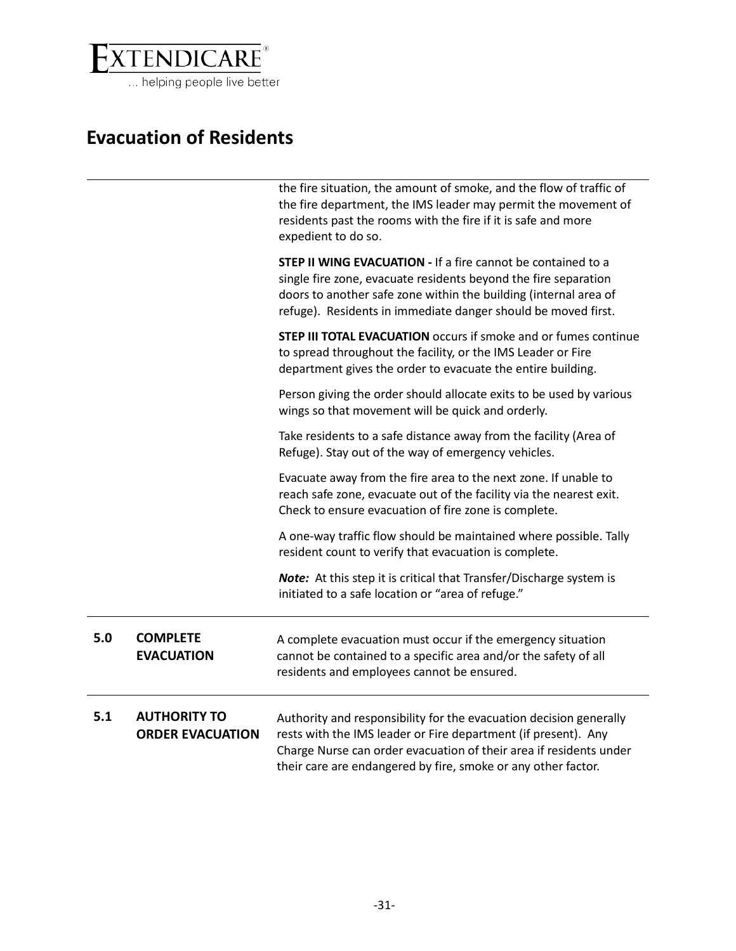

# **Evacuation of Residents**

|     |                                                | the fire situation, the amount of smoke, and the flow of traffic of<br>the fire department, the IMS leader may permit the movement of<br>residents past the rooms with the fire if it is safe and more<br>expedient to do so.                                               |
|-----|------------------------------------------------|-----------------------------------------------------------------------------------------------------------------------------------------------------------------------------------------------------------------------------------------------------------------------------|
|     |                                                | STEP II WING EVACUATION - If a fire cannot be contained to a<br>single fire zone, evacuate residents beyond the fire separation<br>doors to another safe zone within the building (internal area of<br>refuge). Residents in immediate danger should be moved first.        |
|     |                                                | <b>STEP III TOTAL EVACUATION</b> occurs if smoke and or fumes continue<br>to spread throughout the facility, or the IMS Leader or Fire<br>department gives the order to evacuate the entire building.                                                                       |
|     |                                                | Person giving the order should allocate exits to be used by various<br>wings so that movement will be quick and orderly.                                                                                                                                                    |
|     |                                                | Take residents to a safe distance away from the facility (Area of<br>Refuge). Stay out of the way of emergency vehicles.                                                                                                                                                    |
|     |                                                | Evacuate away from the fire area to the next zone. If unable to<br>reach safe zone, evacuate out of the facility via the nearest exit.<br>Check to ensure evacuation of fire zone is complete.                                                                              |
|     |                                                | A one-way traffic flow should be maintained where possible. Tally<br>resident count to verify that evacuation is complete.                                                                                                                                                  |
|     |                                                | Note: At this step it is critical that Transfer/Discharge system is<br>initiated to a safe location or "area of refuge."                                                                                                                                                    |
| 5.0 | <b>COMPLETE</b><br><b>EVACUATION</b>           | A complete evacuation must occur if the emergency situation<br>cannot be contained to a specific area and/or the safety of all<br>residents and employees cannot be ensured.                                                                                                |
| 5.1 | <b>AUTHORITY TO</b><br><b>ORDER EVACUATION</b> | Authority and responsibility for the evacuation decision generally<br>rests with the IMS leader or Fire department (if present). Any<br>Charge Nurse can order evacuation of their area if residents under<br>their care are endangered by fire, smoke or any other factor. |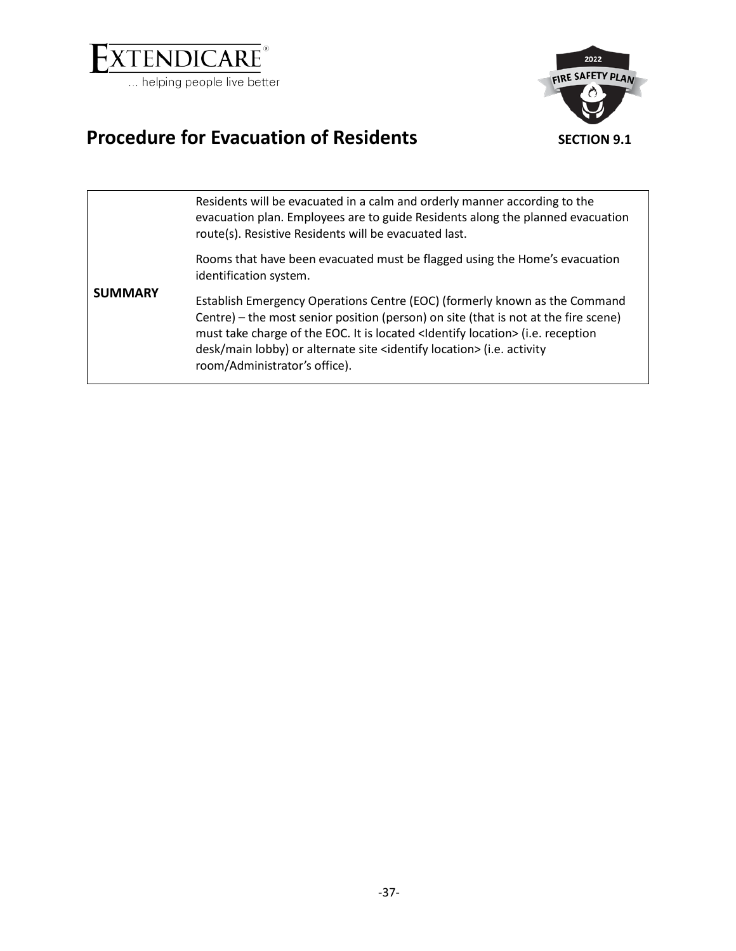

<span id="page-31-1"></span>

# <span id="page-31-0"></span>**Procedure for Evacuation of Residents SECTION 9.1**

|                | Residents will be evacuated in a calm and orderly manner according to the<br>evacuation plan. Employees are to guide Residents along the planned evacuation<br>route(s). Resistive Residents will be evacuated last.                                                                                                                                                                        |
|----------------|---------------------------------------------------------------------------------------------------------------------------------------------------------------------------------------------------------------------------------------------------------------------------------------------------------------------------------------------------------------------------------------------|
|                | Rooms that have been evacuated must be flagged using the Home's evacuation<br>identification system.                                                                                                                                                                                                                                                                                        |
| <b>SUMMARY</b> | Establish Emergency Operations Centre (EOC) (formerly known as the Command<br>Centre) – the most senior position (person) on site (that is not at the fire scene)<br>must take charge of the EOC. It is located <ldentify location=""> (i.e. reception<br/>desk/main lobby) or alternate site <identify location=""> (i.e. activity<br/>room/Administrator's office).</identify></ldentify> |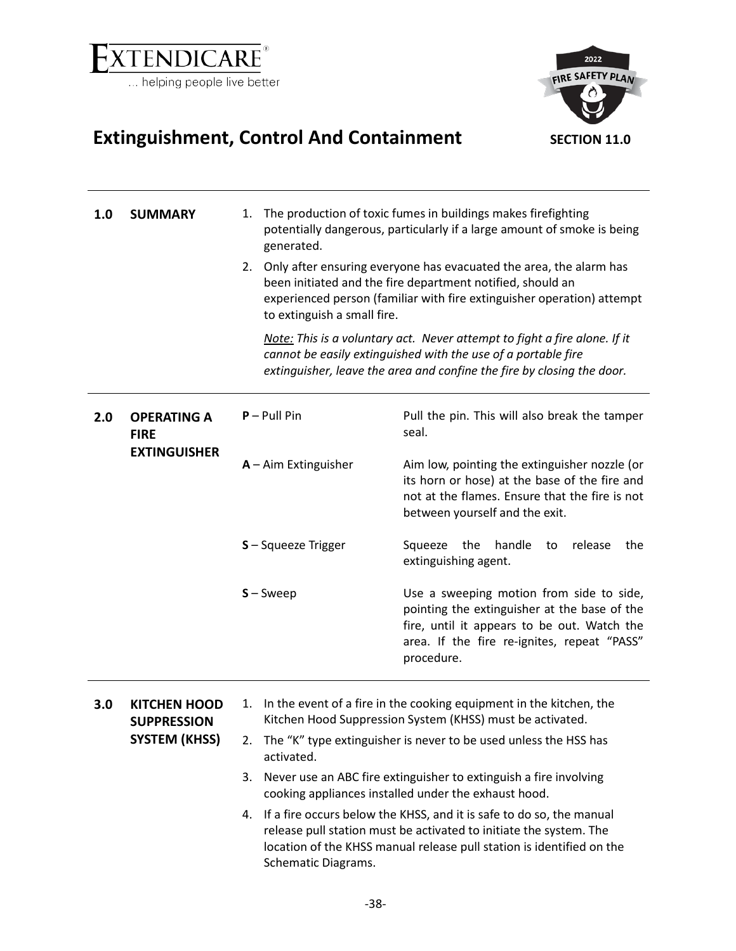

<span id="page-32-1"></span>

# <span id="page-32-0"></span>**Extinguishment, Control And Containment SECTION 11.0**

| 1.0 | <b>SUMMARY</b>                                                    | 1.<br>generated.<br>2.<br>to extinguish a small fire. | The production of toxic fumes in buildings makes firefighting<br>potentially dangerous, particularly if a large amount of smoke is being<br>Only after ensuring everyone has evacuated the area, the alarm has<br>been initiated and the fire department notified, should an<br>experienced person (familiar with fire extinguisher operation) attempt<br>Note: This is a voluntary act. Never attempt to fight a fire alone. If it<br>cannot be easily extinguished with the use of a portable fire<br>extinguisher, leave the area and confine the fire by closing the door. |
|-----|-------------------------------------------------------------------|-------------------------------------------------------|--------------------------------------------------------------------------------------------------------------------------------------------------------------------------------------------------------------------------------------------------------------------------------------------------------------------------------------------------------------------------------------------------------------------------------------------------------------------------------------------------------------------------------------------------------------------------------|
| 2.0 | <b>OPERATING A</b><br><b>FIRE</b><br><b>EXTINGUISHER</b>          | $P -$ Pull Pin<br>$A - A$ im Extinguisher             | Pull the pin. This will also break the tamper<br>seal.<br>Aim low, pointing the extinguisher nozzle (or<br>its horn or hose) at the base of the fire and<br>not at the flames. Ensure that the fire is not<br>between yourself and the exit.                                                                                                                                                                                                                                                                                                                                   |
|     |                                                                   | S-Squeeze Trigger<br>$S -$ Sweep                      | handle<br>the<br>Squeeze<br>release<br>the<br>to<br>extinguishing agent.<br>Use a sweeping motion from side to side,<br>pointing the extinguisher at the base of the<br>fire, until it appears to be out. Watch the<br>area. If the fire re-ignites, repeat "PASS"<br>procedure.                                                                                                                                                                                                                                                                                               |
| 3.0 | <b>KITCHEN HOOD</b><br><b>SUPPRESSION</b><br><b>SYSTEM (KHSS)</b> | 1.<br>activated.<br>3.<br>4.                          | In the event of a fire in the cooking equipment in the kitchen, the<br>Kitchen Hood Suppression System (KHSS) must be activated.<br>2. The "K" type extinguisher is never to be used unless the HSS has<br>Never use an ABC fire extinguisher to extinguish a fire involving<br>cooking appliances installed under the exhaust hood.<br>If a fire occurs below the KHSS, and it is safe to do so, the manual<br>release pull station must be activated to initiate the system. The<br>location of the KHSS manual release pull station is identified on the                    |

Schematic Diagrams.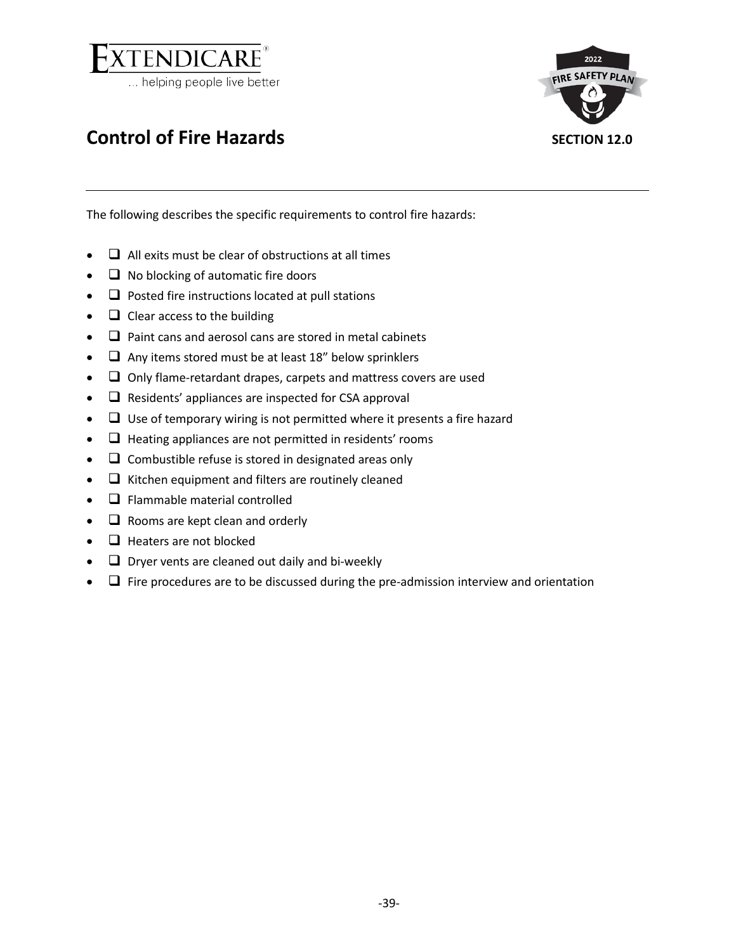

<span id="page-33-0"></span>

<span id="page-33-1"></span>

The following describes the specific requirements to control fire hazards:

- $\bullet$   $\Box$  All exits must be clear of obstructions at all times
- $\Box$  No blocking of automatic fire doors
- $\Box$  Posted fire instructions located at pull stations
- $\bullet$   $\Box$  Clear access to the building
- $\Box$  Paint cans and aerosol cans are stored in metal cabinets
- $\Box$  Any items stored must be at least 18" below sprinklers
- $\Box$  Only flame-retardant drapes, carpets and mattress covers are used
- $\Box$  Residents' appliances are inspected for CSA approval
- $\Box$  Use of temporary wiring is not permitted where it presents a fire hazard
- $\bullet$   $\Box$  Heating appliances are not permitted in residents' rooms
- $\Box$  Combustible refuse is stored in designated areas only
- $\bullet$   $\Box$  Kitchen equipment and filters are routinely cleaned
- $\bullet$   $\Box$  Flammable material controlled
- $\bullet$   $\Box$  Rooms are kept clean and orderly
- $\bullet$   $\Box$  Heaters are not blocked
- $\Box$  Dryer vents are cleaned out daily and bi-weekly
- $\Box$  Fire procedures are to be discussed during the pre-admission interview and orientation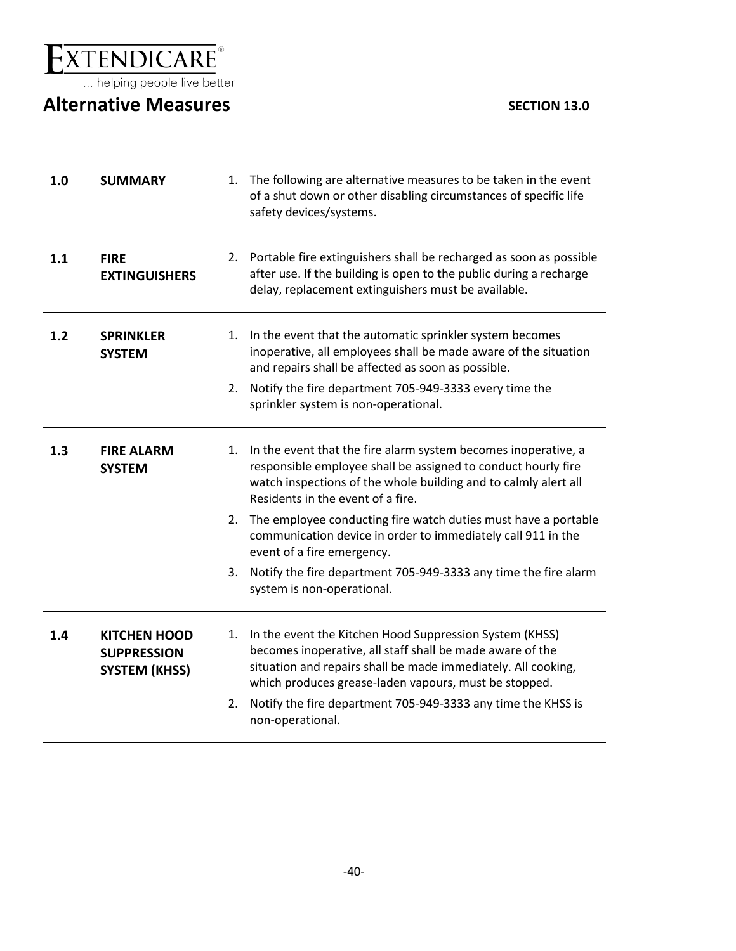$\underset{\ldots \text{ helping people live better}}{\underbrace{extremolCARE}}$ 

# <span id="page-34-0"></span>**Alternative Measures SECTION** 13.0

<span id="page-34-1"></span>

| 1.0 | <b>SUMMARY</b>                                                    |    | 1. The following are alternative measures to be taken in the event<br>of a shut down or other disabling circumstances of specific life<br>safety devices/systems.                                                                              |
|-----|-------------------------------------------------------------------|----|------------------------------------------------------------------------------------------------------------------------------------------------------------------------------------------------------------------------------------------------|
| 1.1 | <b>FIRE</b><br><b>EXTINGUISHERS</b>                               |    | 2. Portable fire extinguishers shall be recharged as soon as possible<br>after use. If the building is open to the public during a recharge<br>delay, replacement extinguishers must be available.                                             |
| 1.2 | <b>SPRINKLER</b><br><b>SYSTEM</b>                                 | 1. | In the event that the automatic sprinkler system becomes<br>inoperative, all employees shall be made aware of the situation<br>and repairs shall be affected as soon as possible.                                                              |
|     |                                                                   | 2. | Notify the fire department 705-949-3333 every time the<br>sprinkler system is non-operational.                                                                                                                                                 |
| 1.3 | <b>FIRE ALARM</b><br><b>SYSTEM</b>                                | 1. | In the event that the fire alarm system becomes inoperative, a<br>responsible employee shall be assigned to conduct hourly fire<br>watch inspections of the whole building and to calmly alert all<br>Residents in the event of a fire.        |
|     |                                                                   |    | 2. The employee conducting fire watch duties must have a portable<br>communication device in order to immediately call 911 in the<br>event of a fire emergency.                                                                                |
|     |                                                                   | 3. | Notify the fire department 705-949-3333 any time the fire alarm<br>system is non-operational.                                                                                                                                                  |
| 1.4 | <b>KITCHEN HOOD</b><br><b>SUPPRESSION</b><br><b>SYSTEM (KHSS)</b> | 1. | In the event the Kitchen Hood Suppression System (KHSS)<br>becomes inoperative, all staff shall be made aware of the<br>situation and repairs shall be made immediately. All cooking,<br>which produces grease-laden vapours, must be stopped. |
|     |                                                                   | 2. | Notify the fire department 705-949-3333 any time the KHSS is<br>non-operational.                                                                                                                                                               |